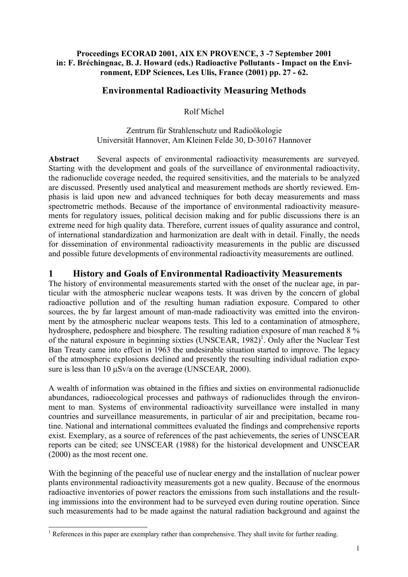#### **Proceedings ECORAD 2001, AIX EN PROVENCE, 3 -7 September 2001 in: F. Bréchingnac, B. J. Howard (eds.) Radioactive Pollutants - Impact on the Environment, EDP Sciences, Les Ulis, France (2001) pp. 27 - 62.**

### **Environmental Radioactivity Measuring Methods**

Rolf Michel

Zentrum für Strahlenschutz und Radioökologie Universität Hannover, Am Kleinen Felde 30, D-30167 Hannover

**Abstract** Several aspects of environmental radioactivity measurements are surveyed. Starting with the development and goals of the surveillance of environmental radioactivity, the radionuclide coverage needed, the required sensitivities, and the materials to be analyzed are discussed. Presently used analytical and measurement methods are shortly reviewed. Emphasis is laid upon new and advanced techniques for both decay measurements and mass spectrometric methods. Because of the importance of environmental radioactivity measurements for regulatory issues, political decision making and for public discussions there is an extreme need for high quality data. Therefore, current issues of quality assurance and control, of international standardization and harmonization are dealt with in detail. Finally, the needs for dissemination of environmental radioactivity measurements in the public are discussed and possible future developments of environmental radioactivity measurements are outlined.

### **1 History and Goals of Environmental Radioactivity Measurements**

The history of environmental measurements started with the onset of the nuclear age, in particular with the atmospheric nuclear weapons tests. It was driven by the concern of global radioactive pollution and of the resulting human radiation exposure. Compared to other sources, the by far largest amount of man-made radioactivity was emitted into the environment by the atmospheric nuclear weapons tests. This led to a contamination of atmosphere, hydrosphere, pedosphere and biosphere. The resulting radiation exposure of man reached 8 % of the natural exposure in beginning sixties  $(UNSCEAR, 1982)^1$ . Only after the Nuclear Test Ban Treaty came into effect in 1963 the undesirable situation started to improve. The legacy of the atmospheric explosions declined and presently the resulting individual radiation exposure is less than 10  $\mu$ Sv/a on the average (UNSCEAR, 2000).

A wealth of information was obtained in the fifties and sixties on environmental radionuclide abundances, radioecological processes and pathways of radionuclides through the environment to man. Systems of environmental radioactivity surveillance were installed in many countries and surveillance measurements, in particular of air and precipitation, became routine. National and international committees evaluated the findings and comprehensive reports exist. Exemplary, as a source of references of the past achievements, the series of UNSCEAR reports can be cited; see UNSCEAR (1988) for the historical development and UNSCEAR (2000) as the most recent one.

With the beginning of the peaceful use of nuclear energy and the installation of nuclear power plants environmental radioactivity measurements got a new quality. Because of the enormous radioactive inventories of power reactors the emissions from such installations and the resulting immissions into the environment had to be surveyed even during routine operation. Since such measurements had to be made against the natural radiation background and against the

<span id="page-0-0"></span><sup>&</sup>lt;sup>1</sup> References in this paper are exemplary rather than comprehensive. They shall invite for further reading.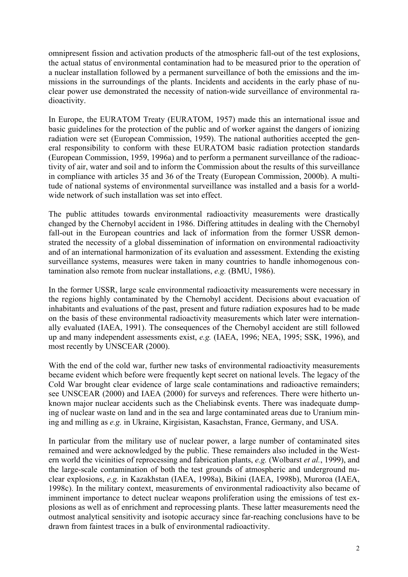omnipresent fission and activation products of the atmospheric fall-out of the test explosions, the actual status of environmental contamination had to be measured prior to the operation of a nuclear installation followed by a permanent surveillance of both the emissions and the immissions in the surroundings of the plants. Incidents and accidents in the early phase of nuclear power use demonstrated the necessity of nation-wide surveillance of environmental radioactivity.

In Europe, the EURATOM Treaty (EURATOM, 1957) made this an international issue and basic guidelines for the protection of the public and of worker against the dangers of ionizing radiation were set (European Commission, 1959). The national authorities accepted the general responsibility to conform with these EURATOM basic radiation protection standards (European Commission, 1959, 1996a) and to perform a permanent surveillance of the radioactivity of air, water and soil and to inform the Commission about the results of this surveillance in compliance with articles 35 and 36 of the Treaty (European Commission, 2000b). A multitude of national systems of environmental surveillance was installed and a basis for a worldwide network of such installation was set into effect.

The public attitudes towards environmental radioactivity measurements were drastically changed by the Chernobyl accident in 1986. Differing attitudes in dealing with the Chernobyl fall-out in the European countries and lack of information from the former USSR demonstrated the necessity of a global dissemination of information on environmental radioactivity and of an international harmonization of its evaluation and assessment. Extending the existing surveillance systems, measures were taken in many countries to handle inhomogenous contamination also remote from nuclear installations, *e.g.* (BMU, 1986).

In the former USSR, large scale environmental radioactivity measurements were necessary in the regions highly contaminated by the Chernobyl accident. Decisions about evacuation of inhabitants and evaluations of the past, present and future radiation exposures had to be made on the basis of these environmental radioactivity measurements which later were internationally evaluated (IAEA, 1991). The consequences of the Chernobyl accident are still followed up and many independent assessments exist, *e.g.* (IAEA, 1996; NEA, 1995; SSK, 1996), and most recently by UNSCEAR (2000).

With the end of the cold war, further new tasks of environmental radioactivity measurements became evident which before were frequently kept secret on national levels. The legacy of the Cold War brought clear evidence of large scale contaminations and radioactive remainders; see UNSCEAR (2000) and IAEA (2000) for surveys and references. There were hitherto unknown major nuclear accidents such as the Cheliabinsk events. There was inadequate dumping of nuclear waste on land and in the sea and large contaminated areas due to Uranium mining and milling as *e.g.* in Ukraine, Kirgisistan, Kasachstan, France, Germany, and USA.

In particular from the military use of nuclear power, a large number of contaminated sites remained and were acknowledged by the public. These remainders also included in the Western world the vicinities of reprocessing and fabrication plants, *e.g.* (Wolbarst *et al.*, 1999), and the large-scale contamination of both the test grounds of atmospheric and underground nuclear explosions, *e.g.* in Kazakhstan (IAEA, 1998a), Bikini (IAEA, 1998b), Muroroa (IAEA, 1998c). In the military context, measurements of environmental radioactivity also became of imminent importance to detect nuclear weapons proliferation using the emissions of test explosions as well as of enrichment and reprocessing plants. These latter measurements need the outmost analytical sensitivity and isotopic accuracy since far-reaching conclusions have to be drawn from faintest traces in a bulk of environmental radioactivity.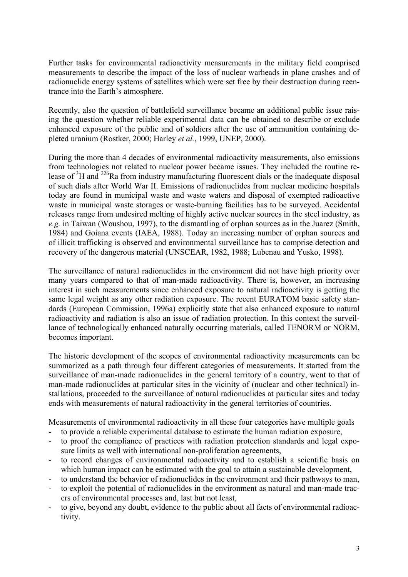Further tasks for environmental radioactivity measurements in the military field comprised measurements to describe the impact of the loss of nuclear warheads in plane crashes and of radionuclide energy systems of satellites which were set free by their destruction during reentrance into the Earth's atmosphere.

Recently, also the question of battlefield surveillance became an additional public issue raising the question whether reliable experimental data can be obtained to describe or exclude enhanced exposure of the public and of soldiers after the use of ammunition containing depleted uranium (Rostker, 2000; Harley *et al.*, 1999, UNEP, 2000).

During the more than 4 decades of environmental radioactivity measurements, also emissions from technologies not related to nuclear power became issues. They included the routine release of  ${}^{3}H$  and  ${}^{226}Ra$  from industry manufacturing fluorescent dials or the inadequate disposal of such dials after World War II. Emissions of radionuclides from nuclear medicine hospitals today are found in municipal waste and waste waters and disposal of exempted radioactive waste in municipal waste storages or waste-burning facilities has to be surveyed. Accidental releases range from undesired melting of highly active nuclear sources in the steel industry, as *e.g.* in Taiwan (Woushou, 1997), to the dismantling of orphan sources as in the Juarez (Smith, 1984) and Goiana events (IAEA, 1988). Today an increasing number of orphan sources and of illicit trafficking is observed and environmental surveillance has to comprise detection and recovery of the dangerous material (UNSCEAR, 1982, 1988; Lubenau and Yusko, 1998).

The surveillance of natural radionuclides in the environment did not have high priority over many years compared to that of man-made radioactivity. There is, however, an increasing interest in such measurements since enhanced exposure to natural radioactivity is getting the same legal weight as any other radiation exposure. The recent EURATOM basic safety standards (European Commission, 1996a) explicitly state that also enhanced exposure to natural radioactivity and radiation is also an issue of radiation protection. In this context the surveillance of technologically enhanced naturally occurring materials, called TENORM or NORM, becomes important.

The historic development of the scopes of environmental radioactivity measurements can be summarized as a path through four different categories of measurements. It started from the surveillance of man-made radionuclides in the general territory of a country, went to that of man-made radionuclides at particular sites in the vicinity of (nuclear and other technical) installations, proceeded to the surveillance of natural radionuclides at particular sites and today ends with measurements of natural radioactivity in the general territories of countries.

Measurements of environmental radioactivity in all these four categories have multiple goals

- to provide a reliable experimental database to estimate the human radiation exposure,
- to proof the compliance of practices with radiation protection standards and legal exposure limits as well with international non-proliferation agreements,
- to record changes of environmental radioactivity and to establish a scientific basis on which human impact can be estimated with the goal to attain a sustainable development,
- to understand the behavior of radionuclides in the environment and their pathways to man,
- to exploit the potential of radionuclides in the environment as natural and man-made tracers of environmental processes and, last but not least,
- to give, beyond any doubt, evidence to the public about all facts of environmental radioactivity.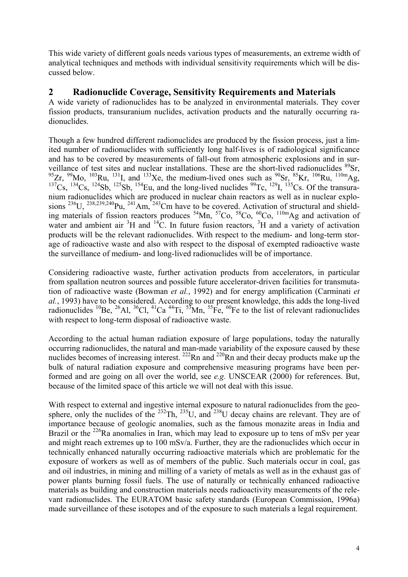This wide variety of different goals needs various types of measurements, an extreme width of analytical techniques and methods with individual sensitivity requirements which will be discussed below.

## **2 Radionuclide Coverage, Sensitivity Requirements and Materials**

A wide variety of radionuclides has to be analyzed in environmental materials. They cover fission products, transuranium nuclides, activation products and the naturally occurring radionuclides.

Though a few hundred different radionuclides are produced by the fission process, just a limited number of radionuclides with sufficiently long half-lives is of radiological significance and has to be covered by measurements of fall-out from atmospheric explosions and in surveillance of test sites and nuclear installations. These are the short-lived radionuclides <sup>89</sup>Sr,  $^{95}Zr$ ,  $^{99}Mo$ ,  $^{103}Ru$ ,  $^{131}I$ , and  $^{133}Xe$ , the medium-lived ones such as  $^{90}Sr$ ,  $^{85}Kr$ ,  $^{106}Ru$ ,  $^{110m}Ag$ ,  $137Cs$ ,  $134Cs$ ,  $124Sb$ ,  $125Sb$ ,  $154Eu$ , and the long-lived nuclides  $99Tc$ ,  $129I$ ,  $135Cs$ . Of the transuranium radionuclides which are produced in nuclear chain reactors as well as in nuclear explosions  $^{236}$ U,  $^{238,239,240}$ Pu,  $^{241}$ Am,  $^{243}$ Cm have to be covered. Activation of structural and shielding materials of fission reactors produces  $54$ Mn,  $57$ Co,  $58$ Co,  $60$ Co,  $110$ mAg and activation of water and ambient air  ${}^{3}H$  and  ${}^{14}C$ . In future fusion reactors,  ${}^{3}H$  and a variety of activation products will be the relevant radionuclides. With respect to the medium- and long-term storage of radioactive waste and also with respect to the disposal of exempted radioactive waste the surveillance of medium- and long-lived radionuclides will be of importance.

Considering radioactive waste, further activation products from accelerators, in particular from spallation neutron sources and possible future accelerator-driven facilities for transmutation of radioactive waste (Bowman *et al.*, 1992) and for energy amplification (Carminati *et al.*, 1993) have to be considered. According to our present knowledge, this adds the long-lived radionuclides  ${}^{10}$ Be,  ${}^{26}$ Al,  ${}^{36}$ Cl,  ${}^{41}$ Ca  ${}^{44}$ Ti,  ${}^{53}$ Mn,  ${}^{55}$ Fe,  ${}^{60}$ Fe to the list of relevant radionuclides with respect to long-term disposal of radioactive waste.

According to the actual human radiation exposure of large populations, today the naturally occurring radionuclides, the natural and man-made variability of the exposure caused by these nuclides becomes of increasing interest.  $^{222}$ Rn and  $^{220}$ Rn and their decay products make up the bulk of natural radiation exposure and comprehensive measuring programs have been performed and are going on all over the world, see *e.g.* UNSCEAR (2000) for references. But, because of the limited space of this article we will not deal with this issue.

With respect to external and ingestive internal exposure to natural radionuclides from the geosphere, only the nuclides of the  $^{232}$ Th,  $^{235}$ U, and  $^{238}$ U decay chains are relevant. They are of importance because of geologic anomalies, such as the famous monazite areas in India and Brazil or the  $^{226}$ Ra anomalies in Iran, which may lead to exposure up to tens of mSy per year and might reach extremes up to 100 mSv/a. Further, they are the radionuclides which occur in technically enhanced naturally occurring radioactive materials which are problematic for the exposure of workers as well as of members of the public. Such materials occur in coal, gas and oil industries, in mining and milling of a variety of metals as well as in the exhaust gas of power plants burning fossil fuels. The use of naturally or technically enhanced radioactive materials as building and construction materials needs radioactivity measurements of the relevant radionuclides. The EURATOM basic safety standards (European Commission, 1996a) made surveillance of these isotopes and of the exposure to such materials a legal requirement.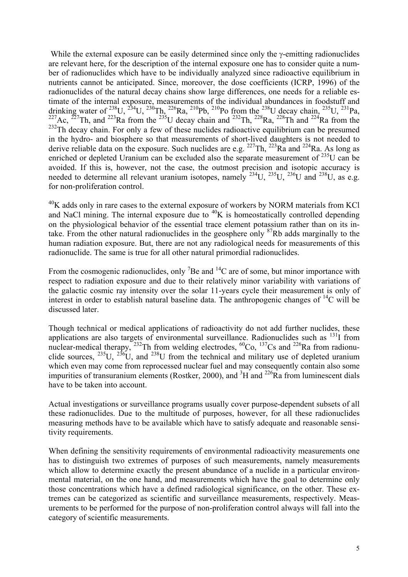While the external exposure can be easily determined since only the γ-emitting radionuclides are relevant here, for the description of the internal exposure one has to consider quite a number of radionuclides which have to be individually analyzed since radioactive equilibrium in nutrients cannot be anticipated. Since, moreover, the dose coefficients (ICRP, 1996) of the radionuclides of the natural decay chains show large differences, one needs for a reliable estimate of the internal exposure, measurements of the individual abundances in foodstuff and drinking water of <sup>238</sup>U, <sup>234</sup>U, <sup>230</sup>Th, <sup>226</sup>Ra, <sup>210</sup>Pb, <sup>210</sup>Po from the <sup>238</sup>U decay chain, <sup>235</sup>U, <sup>231</sup>Pa, <sup>227</sup>Ac, <sup>227</sup>Th, and <sup>223</sup>Ra from the <sup>235</sup>U decay chain and <sup>232</sup>Th, <sup>228</sup>Ra, <sup>228</sup>Th and <sup>224</sup>Ra from the <sup>232</sup>Th decay chain. For only a few of these nuclides radioactive equilibrium can be presumed in the hydro- and biosphere so that measurements of short-lived daughters is not needed to derive reliable data on the exposure. Such nuclides are e.g.  $^{227}$ Th,  $^{223}$ Ra and  $^{224}$ Ra. As long as enriched or depleted Uranium can be excluded also the separate measurement of <sup>235</sup>U can be avoided. If this is, however, not the case, the outmost precision and isotopic accuracy is needed to determine all relevant uranium isotopes, namely  $^{234}$ U,  $^{235}$ U,  $^{236}$ U and  $^{238}$ U, as e.g. for non-proliferation control.

 $^{40}$ K adds only in rare cases to the external exposure of workers by NORM materials from KCl and NaCl mining. The internal exposure due to  ${}^{40}K$  is homeostatically controlled depending on the physiological behavior of the essential trace element potassium rather than on its intake. From the other natural radionuclides in the geosphere only <sup>87</sup>Rb adds marginally to the human radiation exposure. But, there are not any radiological needs for measurements of this radionuclide. The same is true for all other natural primordial radionuclides.

From the cosmogenic radionuclides, only <sup>7</sup>Be and <sup>14</sup>C are of some, but minor importance with respect to radiation exposure and due to their relatively minor variability with variations of the galactic cosmic ray intensity over the solar 11-years cycle their measurement is only of interest in order to establish natural baseline data. The anthropogenic changes of  ${}^{14}C$  will be discussed later.

Though technical or medical applications of radioactivity do not add further nuclides, these applications are also targets of environmental surveillance. Radionuclides such as  $^{131}$ I from nuclear-medical therapy,  $^{232}$ Th from welding electrodes,  $^{60}$ Co,  $^{137}$ Cs and  $^{226}$ Ra from radionuclide sources,  $^{235}U$ ,  $^{236}U$ , and  $^{238}U$  from the technical and military use of depleted uranium which even may come from reprocessed nuclear fuel and may consequently contain also some impurities of transuranium elements (Rostker, 2000), and  ${}^{3}H$  and  ${}^{226}Ra$  from luminescent dials have to be taken into account.

Actual investigations or surveillance programs usually cover purpose-dependent subsets of all these radionuclides. Due to the multitude of purposes, however, for all these radionuclides measuring methods have to be available which have to satisfy adequate and reasonable sensitivity requirements.

When defining the sensitivity requirements of environmental radioactivity measurements one has to distinguish two extremes of purposes of such measurements, namely measurements which allow to determine exactly the present abundance of a nuclide in a particular environmental material, on the one hand, and measurements which have the goal to determine only those concentrations which have a defined radiological significance, on the other. These extremes can be categorized as scientific and surveillance measurements, respectively. Measurements to be performed for the purpose of non-proliferation control always will fall into the category of scientific measurements.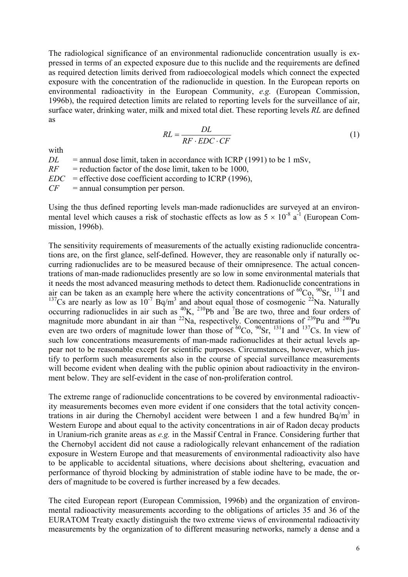The radiological significance of an environmental radionuclide concentration usually is expressed in terms of an expected exposure due to this nuclide and the requirements are defined as required detection limits derived from radioecological models which connect the expected exposure with the concentration of the radionuclide in question. In the European reports on environmental radioactivity in the European Community, *e.g.* (European Commission, 1996b), the required detection limits are related to reporting levels for the surveillance of air, surface water, drinking water, milk and mixed total diet. These reporting levels *RL* are defined as

$$
RL = \frac{DL}{RF \cdot EDC \cdot CF} \tag{1}
$$

with

 $DL$  = annual dose limit, taken in accordance with ICRP (1991) to be 1 mSv,  $RF =$  reduction factor of the dose limit, taken to be 1000,  $EDC =$  effective dose coefficient according to ICRP (1996), *CF* = annual consumption per person.

Using the thus defined reporting levels man-made radionuclides are surveyed at an environmental level which causes a risk of stochastic effects as low as  $5 \times 10^{-8}$  a<sup>-1</sup> (European Commission, 1996b).

The sensitivity requirements of measurements of the actually existing radionuclide concentrations are, on the first glance, self-defined. However, they are reasonable only if naturally occurring radionuclides are to be measured because of their omnipresence. The actual concentrations of man-made radionuclides presently are so low in some environmental materials that it needs the most advanced measuring methods to detect them. Radionuclide concentrations in air can be taken as an example here where the activity concentrations of  ${}^{60}Co$ ,  ${}^{90}Sr$ ,  ${}^{131}I$  and <sup>137</sup>Cs are nearly as low as  $10^{-7}$  Bq/m<sup>3</sup> and about equal those of cosmogenic <sup>22</sup>Na. Naturally occurring radionuclides in air such as  ${}^{40}K$ ,  ${}^{210}Pb$  and  ${}^{7}Be$  are two, three and four orders of magnitude more abundant in air than  $^{22}$ Na, respectively. Concentrations of  $^{239}$ Pu and  $^{240}$ Pu even are two orders of magnitude lower than those of  ${}^{60}Co$ ,  ${}^{90}Sr$ ,  ${}^{131}I$  and  ${}^{137}Cs$ . In view of such low concentrations measurements of man-made radionuclides at their actual levels appear not to be reasonable except for scientific purposes. Circumstances, however, which justify to perform such measurements also in the course of special surveillance measurements will become evident when dealing with the public opinion about radioactivity in the environment below. They are self-evident in the case of non-proliferation control.

The extreme range of radionuclide concentrations to be covered by environmental radioactivity measurements becomes even more evident if one considers that the total activity concentrations in air during the Chernobyl accident were between 1 and a few hundred  $Bq/m<sup>3</sup>$  in Western Europe and about equal to the activity concentrations in air of Radon decay products in Uranium-rich granite areas as *e.g.* in the Massif Central in France. Considering further that the Chernobyl accident did not cause a radiologically relevant enhancement of the radiation exposure in Western Europe and that measurements of environmental radioactivity also have to be applicable to accidental situations, where decisions about sheltering, evacuation and performance of thyroid blocking by administration of stable iodine have to be made, the orders of magnitude to be covered is further increased by a few decades.

The cited European report (European Commission, 1996b) and the organization of environmental radioactivity measurements according to the obligations of articles 35 and 36 of the EURATOM Treaty exactly distinguish the two extreme views of environmental radioactivity measurements by the organization of to different measuring networks, namely a dense and a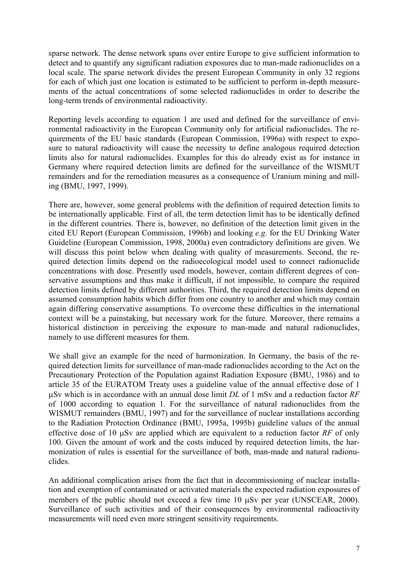sparse network. The dense network spans over entire Europe to give sufficient information to detect and to quantify any significant radiation exposures due to man-made radionuclides on a local scale. The sparse network divides the present European Community in only 32 regions for each of which just one location is estimated to be sufficient to perform in-depth measurements of the actual concentrations of some selected radionuclides in order to describe the long-term trends of environmental radioactivity.

Reporting levels according to equation 1 are used and defined for the surveillance of environmental radioactivity in the European Community only for artificial radionuclides. The requirements of the EU basic standards (European Commission, 1996a) with respect to exposure to natural radioactivity will cause the necessity to define analogous required detection limits also for natural radionuclides. Examples for this do already exist as for instance in Germany where required detection limits are defined for the surveillance of the WISMUT remainders and for the remediation measures as a consequence of Uranium mining and milling (BMU, 1997, 1999).

There are, however, some general problems with the definition of required detection limits to be internationally applicable. First of all, the term detection limit has to be identically defined in the different countries. There is, however, no definition of the detection limit given in the cited EU Report (European Commission, 1996b) and looking *e.g.* for the EU Drinking Water Guideline (European Commission, 1998, 2000a) even contradictory definitions are given. We will discuss this point below when dealing with quality of measurements. Second, the required detection limits depend on the radioecological model used to connect radionuclide concentrations with dose. Presently used models, however, contain different degrees of conservative assumptions and thus make it difficult, if not impossible, to compare the required detection limits defined by different authorities. Third, the required detection limits depend on assumed consumption habits which differ from one country to another and which may contain again differing conservative assumptions. To overcome these difficulties in the international context will be a painstaking, but necessary work for the future. Moreover, there remains a historical distinction in perceiving the exposure to man-made and natural radionuclides, namely to use different measures for them.

We shall give an example for the need of harmonization. In Germany, the basis of the required detection limits for surveillance of man-made radionuclides according to the Act on the Precautionary Protection of the Population against Radiation Exposure (BMU, 1986) and to article 35 of the EURATOM Treaty uses a guideline value of the annual effective dose of 1 µSv which is in accordance with an annual dose limit *DL* of 1 mSv and a reduction factor *RF* of 1000 according to equation 1. For the surveillance of natural radionuclides from the WISMUT remainders (BMU, 1997) and for the surveillance of nuclear installations according to the Radiation Protection Ordinance (BMU, 1995a, 1995b) guideline values of the annual effective dose of 10 µSv are applied which are equivalent to a reduction factor *RF* of only 100. Given the amount of work and the costs induced by required detection limits, the harmonization of rules is essential for the surveillance of both, man-made and natural radionuclides.

An additional complication arises from the fact that in decommissioning of nuclear installation and exemption of contaminated or activated materials the expected radiation exposures of members of the public should not exceed a few time 10 uSv per year (UNSCEAR, 2000). Surveillance of such activities and of their consequences by environmental radioactivity measurements will need even more stringent sensitivity requirements.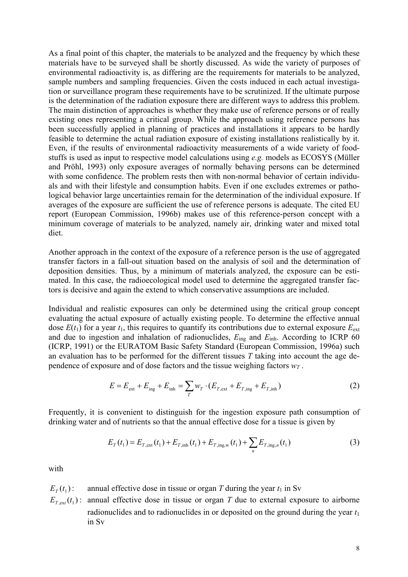As a final point of this chapter, the materials to be analyzed and the frequency by which these materials have to be surveyed shall be shortly discussed. As wide the variety of purposes of environmental radioactivity is, as differing are the requirements for materials to be analyzed, sample numbers and sampling frequencies. Given the costs induced in each actual investigation or surveillance program these requirements have to be scrutinized. If the ultimate purpose is the determination of the radiation exposure there are different ways to address this problem. The main distinction of approaches is whether they make use of reference persons or of really existing ones representing a critical group. While the approach using reference persons has been successfully applied in planning of practices and installations it appears to be hardly feasible to determine the actual radiation exposure of existing installations realistically by it. Even, if the results of environmental radioactivity measurements of a wide variety of foodstuffs is used as input to respective model calculations using *e.g.* models as ECOSYS (Müller and Pröhl, 1993) only exposure averages of normally behaving persons can be determined with some confidence. The problem rests then with non-normal behavior of certain individuals and with their lifestyle and consumption habits. Even if one excludes extremes or pathological behavior large uncertainties remain for the determination of the individual exposure. If averages of the exposure are sufficient the use of reference persons is adequate. The cited EU report (European Commission, 1996b) makes use of this reference-person concept with a minimum coverage of materials to be analyzed, namely air, drinking water and mixed total diet.

Another approach in the context of the exposure of a reference person is the use of aggregated transfer factors in a fall-out situation based on the analysis of soil and the determination of deposition densities. Thus, by a minimum of materials analyzed, the exposure can be estimated. In this case, the radioecological model used to determine the aggregated transfer factors is decisive and again the extend to which conservative assumptions are included.

Individual and realistic exposures can only be determined using the critical group concept evaluating the actual exposure of actually existing people. To determine the effective annual dose  $E(t_1)$  for a year  $t_1$ , this requires to quantify its contributions due to external exposure  $E_{ext}$ and due to ingestion and inhalation of radionuclides,  $E_{\text{ing}}$  and  $E_{\text{inh}}$ . According to ICRP 60 (ICRP, 1991) or the EURATOM Basic Safety Standard (European Commission, 1996a) such an evaluation has to be performed for the different tissues *T* taking into account the age dependence of exposure and of dose factors and the tissue weighing factors  $w_T$ .

$$
E = E_{\text{ext}} + E_{\text{ing}} + E_{\text{inh}} = \sum_{T} w_T \cdot (E_{T, \text{ext}} + E_{T, \text{ing}} + E_{T, \text{inh}})
$$
(2)

Frequently, it is convenient to distinguish for the ingestion exposure path consumption of drinking water and of nutrients so that the annual effective dose for a tissue is given by

$$
E_T(t_1) = E_{T,ext}(t_1) + E_{T,inh}(t_1) + E_{T,ing,w}(t_1) + \sum_n E_{T,ing,n}(t_1)
$$
\n(3)

with

 $E_r(t_1)$ : annual effective dose in tissue or organ *T* during the year  $t_1$  in Sv

 $E_{T_{\text{ext}}}(t_1)$ : annual effective dose in tissue or organ *T* due to external exposure to airborne radionuclides and to radionuclides in or deposited on the ground during the year  $t_1$ in Sv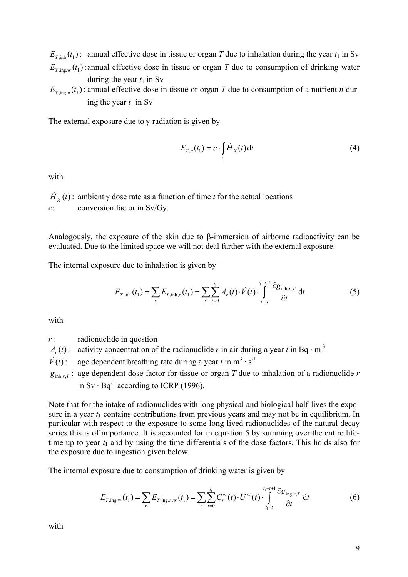$E_{T, \text{inh}}(t_1)$ : annual effective dose in tissue or organ *T* due to inhalation during the year  $t_1$  in Sv  $E_{T, \text{ing},w}(t_1)$ : annual effective dose in tissue or organ *T* due to consumption of drinking water during the year  $t_1$  in Sv

 $E_{\tau}$  *ing*  $_n(t_1)$  : annual effective dose in tissue or organ *T* due to consumption of a nutrient *n* during the year  $t_1$  in Sv

The external exposure due to  $\gamma$ -radiation is given by

$$
E_{T,a}(t_1) = c \cdot \int\limits_{t_1} \dot{H}_X(t) dt
$$
\n(4)

with

 $H_Y(t)$ : ambient γ dose rate as a function of time *t* for the actual locations *c*: conversion factor in Sv/Gy.

Analogously, the exposure of the skin due to β-immersion of airborne radioactivity can be evaluated. Due to the limited space we will not deal further with the external exposure.

The internal exposure due to inhalation is given by

$$
E_{T,\text{inh}}(t_1) = \sum_{r} E_{T,\text{inh},r}(t_1) = \sum_{r} \sum_{t=0}^{t_1} A_r(t) \cdot \dot{V}(t) \cdot \int_{t_1-t}^{t_1-t+1} \frac{\partial g_{\text{inh},r,T}}{\partial t} dt
$$
(5)

with

*r* : radionuclide in question

*A*<sub>*i*</sub>(*t*): activity concentration of the radionuclide *r* in air during a year *t* in Bq ⋅ m<sup>-3</sup>

 $\dot{V}(t)$ : age dependent breathing rate during a year *t* in m<sup>3</sup> · s<sup>-1</sup>

 $g_{\text{inh } rT}$ : age dependent dose factor for tissue or organ *T* due to inhalation of a radionuclide *r* in Sv $\cdot$  Bq<sup>-1</sup> according to ICRP (1996).

Note that for the intake of radionuclides with long physical and biological half-lives the exposure in a year  $t_1$  contains contributions from previous years and may not be in equilibrium. In particular with respect to the exposure to some long-lived radionuclides of the natural decay series this is of importance. It is accounted for in equation 5 by summing over the entire lifetime up to year  $t_1$  and by using the time differentials of the dose factors. This holds also for the exposure due to ingestion given below.

The internal exposure due to consumption of drinking water is given by

$$
E_{T, \text{ing}, \text{w}}(t_1) = \sum_{r} E_{T, \text{ing}, r, \text{w}}(t_1) = \sum_{r} \sum_{t=0}^{t_1} C_r^{\text{w}}(t) \cdot U^{\text{w}}(t) \cdot \int_{t_1 - t}^{t_1 - t + 1} \frac{\partial g_{\text{ing}, r, T}}{\partial t} dt \tag{6}
$$

with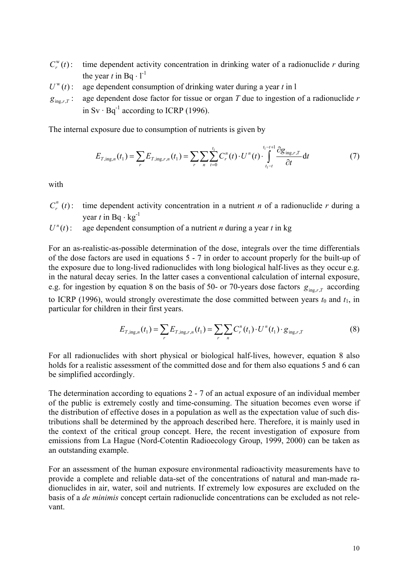- $C_{r}^{w}(t)$ : time dependent activity concentration in drinking water of a radionuclide *r* during the year *t* in Bq  $\cdot$  1<sup>-1</sup>
- $U^{\mathbf{w}}(t)$ : age dependent consumption of drinking water during a year *t* in l
- $g_{\text{ing},r,T}$ : age dependent dose factor for tissue or organ *T* due to ingestion of a radionuclide *r* in  $Sv \cdot Bq^{-1}$  according to ICRP (1996).

The internal exposure due to consumption of nutrients is given by

$$
E_{T,\text{ing},n}(t_1) = \sum_{r} E_{T,\text{ing},r,n}(t_1) = \sum_{r} \sum_{n} \sum_{t=0}^{t_1} C_r^n(t) \cdot U^n(t) \cdot \int_{t_1-t}^{t_1-t+1} \frac{\partial g_{\text{ing},r,T}}{\partial t} dt \tag{7}
$$

with

- $C_r^n(t)$ : time dependent activity concentration in a nutrient *n* of a radionuclide *r* during a year  $t$  in Bq  $\cdot$  kg<sup>-1</sup>
- $U<sup>n</sup>(t)$ : age dependent consumption of a nutrient *n* during a year *t* in kg

For an as-realistic-as-possible determination of the dose, integrals over the time differentials of the dose factors are used in equations 5 - 7 in order to account properly for the built-up of the exposure due to long-lived radionuclides with long biological half-lives as they occur e.g. in the natural decay series. In the latter cases a conventional calculation of internal exposure, e.g. for ingestion by equation 8 on the basis of 50- or 70-years dose factors  $g_{\text{ing},r,T}$  according to ICRP (1996), would strongly overestimate the dose committed between years  $t_0$  and  $t_1$ , in particular for children in their first years.

$$
E_{T,\text{ing},n}(t_1) = \sum_r E_{T,\text{ing},r,n}(t_1) = \sum_r \sum_n C_r^n(t_1) \cdot U^n(t_1) \cdot g_{\text{ing},r,T}
$$
(8)

For all radionuclides with short physical or biological half-lives, however, equation 8 also holds for a realistic assessment of the committed dose and for them also equations 5 and 6 can be simplified accordingly.

The determination according to equations 2 - 7 of an actual exposure of an individual member of the public is extremely costly and time-consuming. The situation becomes even worse if the distribution of effective doses in a population as well as the expectation value of such distributions shall be determined by the approach described here. Therefore, it is mainly used in the context of the critical group concept. Here, the recent investigation of exposure from emissions from La Hague (Nord-Cotentin Radioecology Group, 1999, 2000) can be taken as an outstanding example.

For an assessment of the human exposure environmental radioactivity measurements have to provide a complete and reliable data-set of the concentrations of natural and man-made radionuclides in air, water, soil and nutrients. If extremely low exposures are excluded on the basis of a *de minimis* concept certain radionuclide concentrations can be excluded as not relevant.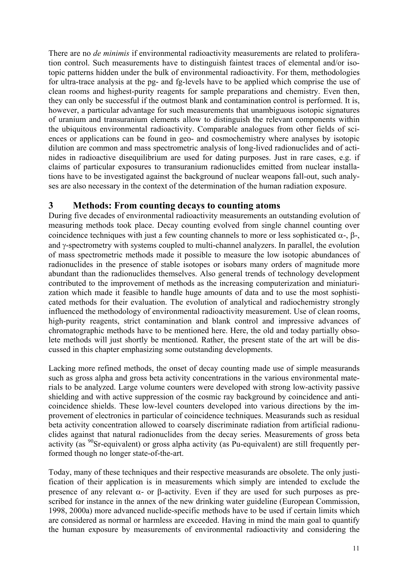There are no *de minimis* if environmental radioactivity measurements are related to proliferation control. Such measurements have to distinguish faintest traces of elemental and/or isotopic patterns hidden under the bulk of environmental radioactivity. For them, methodologies for ultra-trace analysis at the pg- and fg-levels have to be applied which comprise the use of clean rooms and highest-purity reagents for sample preparations and chemistry. Even then, they can only be successful if the outmost blank and contamination control is performed. It is, however, a particular advantage for such measurements that unambiguous isotopic signatures of uranium and transuranium elements allow to distinguish the relevant components within the ubiquitous environmental radioactivity. Comparable analogues from other fields of sciences or applications can be found in geo- and cosmochemistry where analyses by isotopic dilution are common and mass spectrometric analysis of long-lived radionuclides and of actinides in radioactive disequilibrium are used for dating purposes. Just in rare cases, e.g. if claims of particular exposures to transuranium radionuclides emitted from nuclear installations have to be investigated against the background of nuclear weapons fall-out, such analyses are also necessary in the context of the determination of the human radiation exposure.

### **3 Methods: From counting decays to counting atoms**

During five decades of environmental radioactivity measurements an outstanding evolution of measuring methods took place. Decay counting evolved from single channel counting over coincidence techniques with just a few counting channels to more or less sophisticated  $α$ -,  $β$ -, and γ-spectrometry with systems coupled to multi-channel analyzers. In parallel, the evolution of mass spectrometric methods made it possible to measure the low isotopic abundances of radionuclides in the presence of stable isotopes or isobars many orders of magnitude more abundant than the radionuclides themselves. Also general trends of technology development contributed to the improvement of methods as the increasing computerization and miniaturization which made it feasible to handle huge amounts of data and to use the most sophisticated methods for their evaluation. The evolution of analytical and radiochemistry strongly influenced the methodology of environmental radioactivity measurement. Use of clean rooms, high-purity reagents, strict contamination and blank control and impressive advances of chromatographic methods have to be mentioned here. Here, the old and today partially obsolete methods will just shortly be mentioned. Rather, the present state of the art will be discussed in this chapter emphasizing some outstanding developments.

Lacking more refined methods, the onset of decay counting made use of simple measurands such as gross alpha and gross beta activity concentrations in the various environmental materials to be analyzed. Large volume counters were developed with strong low-activity passive shielding and with active suppression of the cosmic ray background by coincidence and anticoincidence shields. These low-level counters developed into various directions by the improvement of electronics in particular of coincidence techniques. Measurands such as residual beta activity concentration allowed to coarsely discriminate radiation from artificial radionuclides against that natural radionuclides from the decay series. Measurements of gross beta activity (as <sup>90</sup>Sr-equivalent) or gross alpha activity (as Pu-equivalent) are still frequently performed though no longer state-of-the-art.

Today, many of these techniques and their respective measurands are obsolete. The only justification of their application is in measurements which simply are intended to exclude the presence of any relevant  $\alpha$ - or β-activity. Even if they are used for such purposes as prescribed for instance in the annex of the new drinking water guideline (European Commission, 1998, 2000a) more advanced nuclide-specific methods have to be used if certain limits which are considered as normal or harmless are exceeded. Having in mind the main goal to quantify the human exposure by measurements of environmental radioactivity and considering the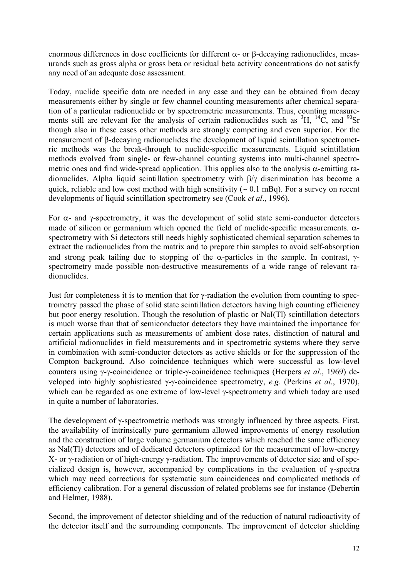enormous differences in dose coefficients for different  $\alpha$ - or β-decaying radionuclides, measurands such as gross alpha or gross beta or residual beta activity concentrations do not satisfy any need of an adequate dose assessment.

Today, nuclide specific data are needed in any case and they can be obtained from decay measurements either by single or few channel counting measurements after chemical separation of a particular radionuclide or by spectrometric measurements. Thus, counting measurements still are relevant for the analysis of certain radionuclides such as  ${}^{3}H, {}^{14}C,$  and  ${}^{90}Sr$ though also in these cases other methods are strongly competing and even superior. For the measurement of β-decaying radionuclides the development of liquid scintillation spectrometric methods was the break-through to nuclide-specific measurements. Liquid scintillation methods evolved from single- or few-channel counting systems into multi-channel spectrometric ones and find wide-spread application. This applies also to the analysis  $\alpha$ -emitting radionuclides. Alpha liquid scintillation spectrometry with β/γ discrimination has become a quick, reliable and low cost method with high sensitivity (∼ 0.1 mBq). For a survey on recent developments of liquid scintillation spectrometry see (Cook *et al*., 1996).

For  $\alpha$ - and  $\gamma$ -spectrometry, it was the development of solid state semi-conductor detectors made of silicon or germanium which opened the field of nuclide-specific measurements.  $\alpha$ spectrometry with Si detectors still needs highly sophisticated chemical separation schemes to extract the radionuclides from the matrix and to prepare thin samples to avoid self-absorption and strong peak tailing due to stopping of the  $\alpha$ -particles in the sample. In contrast,  $\gamma$ spectrometry made possible non-destructive measurements of a wide range of relevant radionuclides.

Just for completeness it is to mention that for  $\gamma$ -radiation the evolution from counting to spectrometry passed the phase of solid state scintillation detectors having high counting efficiency but poor energy resolution. Though the resolution of plastic or NaI(Tl) scintillation detectors is much worse than that of semiconductor detectors they have maintained the importance for certain applications such as measurements of ambient dose rates, distinction of natural and artificial radionuclides in field measurements and in spectrometric systems where they serve in combination with semi-conductor detectors as active shields or for the suppression of the Compton background. Also coincidence techniques which were successful as low-level counters using γ-γ-coincidence or triple-γ-coincidence techniques (Herpers *et al.*, 1969) developed into highly sophisticated γ-γ-coincidence spectrometry, *e.g.* (Perkins *et al.*, 1970), which can be regarded as one extreme of low-level γ-spectrometry and which today are used in quite a number of laboratories.

The development of γ-spectrometric methods was strongly influenced by three aspects. First, the availability of intrinsically pure germanium allowed improvements of energy resolution and the construction of large volume germanium detectors which reached the same efficiency as NaI(Tl) detectors and of dedicated detectors optimized for the measurement of low-energy X- or γ-radiation or of high-energy γ-radiation. The improvements of detector size and of specialized design is, however, accompanied by complications in the evaluation of γ-spectra which may need corrections for systematic sum coincidences and complicated methods of efficiency calibration. For a general discussion of related problems see for instance (Debertin and Helmer, 1988).

Second, the improvement of detector shielding and of the reduction of natural radioactivity of the detector itself and the surrounding components. The improvement of detector shielding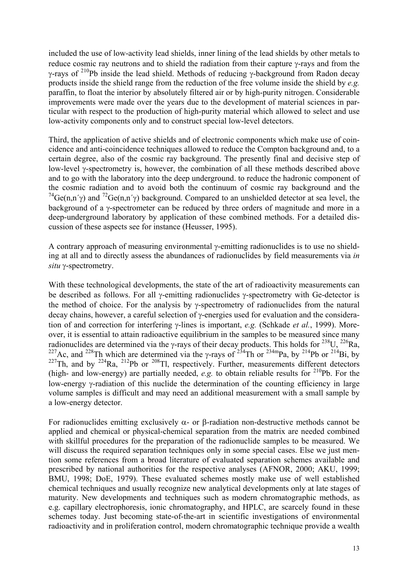included the use of low-activity lead shields, inner lining of the lead shields by other metals to reduce cosmic ray neutrons and to shield the radiation from their capture γ-rays and from the γ-rays of <sup>210</sup>Pb inside the lead shield. Methods of reducing γ-background from Radon decay products inside the shield range from the reduction of the free volume inside the shield by *e.g.* paraffin, to float the interior by absolutely filtered air or by high-purity nitrogen. Considerable improvements were made over the years due to the development of material sciences in particular with respect to the production of high-purity material which allowed to select and use low-activity components only and to construct special low-level detectors.

Third, the application of active shields and of electronic components which make use of coincidence and anti-coincidence techniques allowed to reduce the Compton background and, to a certain degree, also of the cosmic ray background. The presently final and decisive step of low-level γ-spectrometry is, however, the combination of all these methods described above and to go with the laboratory into the deep underground. to reduce the hadronic component of the cosmic radiation and to avoid both the continuum of cosmic ray background and the <sup>74</sup>Ge(n,n'y) and <sup>72</sup>Ge(n,n'y) background. Compared to an unshielded detector at sea level, the background of a γ-spectrometer can be reduced by three orders of magnitude and more in a deep-underground laboratory by application of these combined methods. For a detailed discussion of these aspects see for instance (Heusser, 1995).

A contrary approach of measuring environmental γ-emitting radionuclides is to use no shielding at all and to directly assess the abundances of radionuclides by field measurements via *in situ* γ-spectrometry.

With these technological developments, the state of the art of radioactivity measurements can be described as follows. For all γ-emitting radionuclides γ-spectrometry with Ge-detector is the method of choice. For the analysis by γ-spectrometry of radionuclides from the natural decay chains, however, a careful selection of γ-energies used for evaluation and the consideration of and correction for interfering γ-lines is important, *e.g.* (Schkade *et al.*, 1999). Moreover, it is essential to attain radioactive equilibrium in the samples to be measured since many radionuclides are determined via the γ-rays of their decay products. This holds for <sup>238</sup>U, <sup>226</sup>Ra, <sup>227</sup>Ac, and <sup>228</sup>Th which are determined via the γ-rays of <sup>234</sup>Th or <sup>234m</sup>Pa, by <sup>214</sup>Pb or <sup>214</sup>Bi, by  $227$ Th, and by  $224$ Ra,  $212$ Pb or  $208$ Tl, respectively. Further, measurements different detectors (high- and low-energy) are partially needed, *e.g.* to obtain reliable results for 210Pb. For the low-energy γ-radiation of this nuclide the determination of the counting efficiency in large volume samples is difficult and may need an additional measurement with a small sample by a low-energy detector.

For radionuclides emitting exclusively α- or β-radiation non-destructive methods cannot be applied and chemical or physical-chemical separation from the matrix are needed combined with skillful procedures for the preparation of the radionuclide samples to be measured. We will discuss the required separation techniques only in some special cases. Else we just mention some references from a broad literature of evaluated separation schemes available and prescribed by national authorities for the respective analyses (AFNOR, 2000; AKU, 1999; BMU, 1998; DoE, 1979). These evaluated schemes mostly make use of well established chemical techniques and usually recognize new analytical developments only at late stages of maturity. New developments and techniques such as modern chromatographic methods, as e.g. capillary electrophoresis, ionic chromatography, and HPLC, are scarcely found in these schemes today. Just becoming state-of-the-art in scientific investigations of environmental radioactivity and in proliferation control, modern chromatographic technique provide a wealth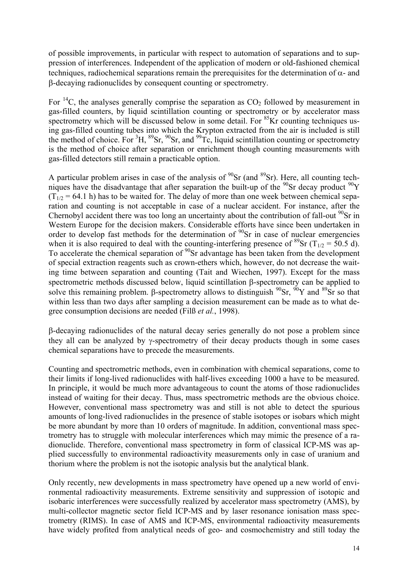of possible improvements, in particular with respect to automation of separations and to suppression of interferences. Independent of the application of modern or old-fashioned chemical techniques, radiochemical separations remain the prerequisites for the determination of α- and β-decaying radionuclides by consequent counting or spectrometry.

For  $^{14}$ C, the analyses generally comprise the separation as  $CO<sub>2</sub>$  followed by measurement in gas-filled counters, by liquid scintillation counting or spectrometry or by accelerator mass spectrometry which will be discussed below in some detail. For  ${}^{85}$ Kr counting techniques using gas-filled counting tubes into which the Krypton extracted from the air is included is still the method of choice. For  ${}^{3}H$ ,  ${}^{89}Sr$ ,  ${}^{90}Sr$ , and  ${}^{99}Te$ , liquid scintillation counting or spectrometry is the method of choice after separation or enrichment though counting measurements with gas-filled detectors still remain a practicable option.

A particular problem arises in case of the analysis of  $90\text{Sr}$  (and  $89\text{Sr}$ ). Here, all counting techniques have the disadvantage that after separation the built-up of the  $90\text{Sr}$  decay product  $90\text{Y}$  $(T_{1/2} = 64.1 \text{ h})$  has to be waited for. The delay of more than one week between chemical separation and counting is not acceptable in case of a nuclear accident. For instance, after the Chernobyl accident there was too long an uncertainty about the contribution of fall-out  $^{90}$ Sr in Western Europe for the decision makers. Considerable efforts have since been undertaken in order to develop fast methods for the determination of  $90$ Sr in case of nuclear emergencies when it is also required to deal with the counting-interfering presence of <sup>89</sup>Sr ( $T_{1/2}$  = 50.5 d). To accelerate the chemical separation of <sup>90</sup>Sr advantage has been taken from the development of special extraction reagents such as crown-ethers which, however, do not decrease the waiting time between separation and counting (Tait and Wiechen, 1997). Except for the mass spectrometric methods discussed below, liquid scintillation β-spectrometry can be applied to solve this remaining problem. β-spectrometry allows to distinguish  $^{90}Sr$ ,  $^{90}Y$  and  $^{89}Sr$  so that within less than two days after sampling a decision measurement can be made as to what degree consumption decisions are needed (Filß *et al.*, 1998).

β-decaying radionuclides of the natural decay series generally do not pose a problem since they all can be analyzed by γ-spectrometry of their decay products though in some cases chemical separations have to precede the measurements.

Counting and spectrometric methods, even in combination with chemical separations, come to their limits if long-lived radionuclides with half-lives exceeding 1000 a have to be measured. In principle, it would be much more advantageous to count the atoms of those radionuclides instead of waiting for their decay. Thus, mass spectrometric methods are the obvious choice. However, conventional mass spectrometry was and still is not able to detect the spurious amounts of long-lived radionuclides in the presence of stable isotopes or isobars which might be more abundant by more than 10 orders of magnitude. In addition, conventional mass spectrometry has to struggle with molecular interferences which may mimic the presence of a radionuclide. Therefore, conventional mass spectrometry in form of classical ICP-MS was applied successfully to environmental radioactivity measurements only in case of uranium and thorium where the problem is not the isotopic analysis but the analytical blank.

Only recently, new developments in mass spectrometry have opened up a new world of environmental radioactivity measurements. Extreme sensitivity and suppression of isotopic and isobaric interferences were successfully realized by accelerator mass spectrometry (AMS), by multi-collector magnetic sector field ICP-MS and by laser resonance ionisation mass spectrometry (RIMS). In case of AMS and ICP-MS, environmental radioactivity measurements have widely profited from analytical needs of geo- and cosmochemistry and still today the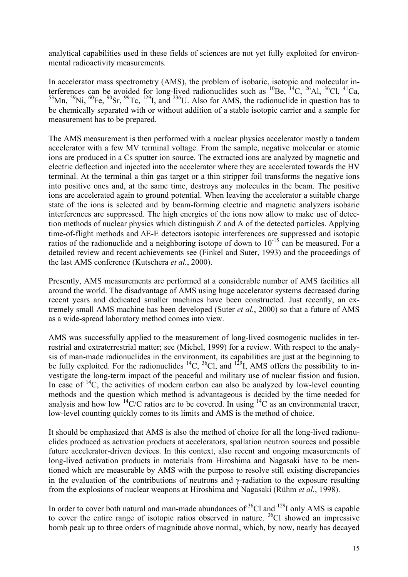analytical capabilities used in these fields of sciences are not yet fully exploited for environmental radioactivity measurements.

In accelerator mass spectrometry (AMS), the problem of isobaric, isotopic and molecular interferences can be avoided for long-lived radionuclides such as  ${}^{10}Be$ ,  ${}^{14}C$ ,  ${}^{26}Al$ ,  ${}^{36}Cl$ ,  ${}^{41}Ca$ ,  $^{53}$ Mn,  $^{59}$ Ni,  $^{60}$ Fe,  $^{90}$ Sr,  $^{99}$ Tc,  $^{129}$ I, and  $^{236}$ U. Also for AMS, the radionuclide in question has to be chemically separated with or without addition of a stable isotopic carrier and a sample for measurement has to be prepared.

The AMS measurement is then performed with a nuclear physics accelerator mostly a tandem accelerator with a few MV terminal voltage. From the sample, negative molecular or atomic ions are produced in a Cs sputter ion source. The extracted ions are analyzed by magnetic and electric deflection and injected into the accelerator where they are accelerated towards the HV terminal. At the terminal a thin gas target or a thin stripper foil transforms the negative ions into positive ones and, at the same time, destroys any molecules in the beam. The positive ions are accelerated again to ground potential. When leaving the accelerator a suitable charge state of the ions is selected and by beam-forming electric and magnetic analyzers isobaric interferences are suppressed. The high energies of the ions now allow to make use of detection methods of nuclear physics which distinguish Z and A of the detected particles. Applying time-of-flight methods and ∆E-E detectors isotopic interferences are suppressed and isotopic ratios of the radionuclide and a neighboring isotope of down to  $10^{-15}$  can be measured. For a detailed review and recent achievements see (Finkel and Suter, 1993) and the proceedings of the last AMS conference (Kutschera *et al.*, 2000).

Presently, AMS measurements are performed at a considerable number of AMS facilities all around the world. The disadvantage of AMS using huge accelerator systems decreased during recent years and dedicated smaller machines have been constructed. Just recently, an extremely small AMS machine has been developed (Suter *et al.*, 2000) so that a future of AMS as a wide-spread laboratory method comes into view.

AMS was successfully applied to the measurement of long-lived cosmogenic nuclides in terrestrial and extraterrestrial matter; see (Michel, 1999) for a review. With respect to the analysis of man-made radionuclides in the environment, its capabilities are just at the beginning to be fully exploited. For the radionuclides  ${}^{14}C$ ,  ${}^{36}C$ l, and  ${}^{129}I$ , AMS offers the possibility to investigate the long-term impact of the peaceful and military use of nuclear fission and fusion. In case of  $^{14}C$ , the activities of modern carbon can also be analyzed by low-level counting methods and the question which method is advantageous is decided by the time needed for analysis and how low  $14C/C$  ratios are to be covered. In using  $14C$  as an environmental tracer, low-level counting quickly comes to its limits and AMS is the method of choice.

It should be emphasized that AMS is also the method of choice for all the long-lived radionuclides produced as activation products at accelerators, spallation neutron sources and possible future accelerator-driven devices. In this context, also recent and ongoing measurements of long-lived activation products in materials from Hiroshima and Nagasaki have to be mentioned which are measurable by AMS with the purpose to resolve still existing discrepancies in the evaluation of the contributions of neutrons and  $\gamma$ -radiation to the exposure resulting from the explosions of nuclear weapons at Hiroshima and Nagasaki (Rühm *et al.*, 1998).

In order to cover both natural and man-made abundances of <sup>36</sup>Cl and <sup>129</sup>I only AMS is capable to cover the entire range of isotopic ratios observed in nature.  $36$ Cl showed an impressive bomb peak up to three orders of magnitude above normal, which, by now, nearly has decayed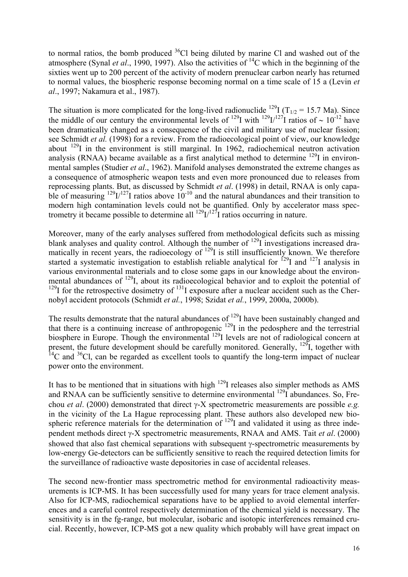to normal ratios, the bomb produced  $36$ Cl being diluted by marine Cl and washed out of the atmosphere (Synal *et al.*, 1990, 1997). Also the activities of <sup>14</sup>C which in the beginning of the sixties went up to 200 percent of the activity of modern prenuclear carbon nearly has returned to normal values, the biospheric response becoming normal on a time scale of 15 a (Levin *et al*., 1997; Nakamura et al., 1987).

The situation is more complicated for the long-lived radionuclide <sup>129</sup>I (T<sub>1/2</sub> = 15.7 Ma). Since the middle of our century the environmental levels of <sup>129</sup>I with <sup>129</sup>I/<sup>127</sup>I ratios of ~ 10<sup>-12</sup> have been dramatically changed as a consequence of the civil and military use of nuclear fission; see Schmidt *et al.* (1998) for a review. From the radioecological point of view, our knowledge about  $129$ I in the environment is still marginal. In 1962, radiochemical neutron activation analysis (RNAA) became available as a first analytical method to determine  $^{129}$ I in environmental samples (Studier *et al*., 1962). Manifold analyses demonstrated the extreme changes as a consequence of atmospheric weapon tests and even more pronounced due to releases from reprocessing plants. But, as discussed by Schmidt *et al*. (1998) in detail, RNAA is only capable of measuring  $^{129}I/^{127}I$  ratios above  $10^{-10}$  and the natural abundances and their transition to modern high contamination levels could not be quantified. Only by accelerator mass spectrometry it became possible to determine all  $^{129}I^{127}I$  ratios occurring in nature.

Moreover, many of the early analyses suffered from methodological deficits such as missing blank analyses and quality control. Although the number of <sup>129</sup>I investigations increased dramatically in recent years, the radioecology of  $^{129}$ I is still insufficiently known. We therefore started a systematic investigation to establish reliable analytical for  $^{129}$ I and  $^{127}$ I analysis in various environmental materials and to close some gaps in our knowledge about the environmental abundances of <sup>129</sup>I, about its radioecological behavior and to exploit the potential of  $129$ I for the retrospective dosimetry of  $131$ I exposure after a nuclear accident such as the Chernobyl accident protocols (Schmidt *et al.*, 1998; Szidat *et al.*, 1999, 2000a, 2000b).

The results demonstrate that the natural abundances of  $129$ I have been sustainably changed and that there is a continuing increase of anthropogenic  $^{129}$ I in the pedosphere and the terrestrial biosphere in Europe. Though the environmental <sup>129</sup>I levels are not of radiological concern at present, the future development should be carefully monitored. Generally,  $^{129}I$ , together with  $^{14}$ C and  $^{36}$ Cl, can be regarded as excellent tools to quantify the long-term impact of nuclear power onto the environment.

It has to be mentioned that in situations with high  $^{129}$ I releases also simpler methods as AMS and RNAA can be sufficiently sensitive to determine environmental  $^{129}I$  abundances. So, Frechou *et al*. (2000) demonstrated that direct γ-X spectrometric measurements are possible *e.g.* in the vicinity of the La Hague reprocessing plant. These authors also developed new biospheric reference materials for the determination of  $^{129}I$  and validated it using as three independent methods direct γ-X spectrometric measurements, RNAA and AMS. Tait *et al*. (2000) showed that also fast chemical separations with subsequent γ-spectrometric measurements by low-energy Ge-detectors can be sufficiently sensitive to reach the required detection limits for the surveillance of radioactive waste depositories in case of accidental releases.

The second new-frontier mass spectrometric method for environmental radioactivity measurements is ICP-MS. It has been successfully used for many years for trace element analysis. Also for ICP-MS, radiochemical separations have to be applied to avoid elemental interferences and a careful control respectively determination of the chemical yield is necessary. The sensitivity is in the fg-range, but molecular, isobaric and isotopic interferences remained crucial. Recently, however, ICP-MS got a new quality which probably will have great impact on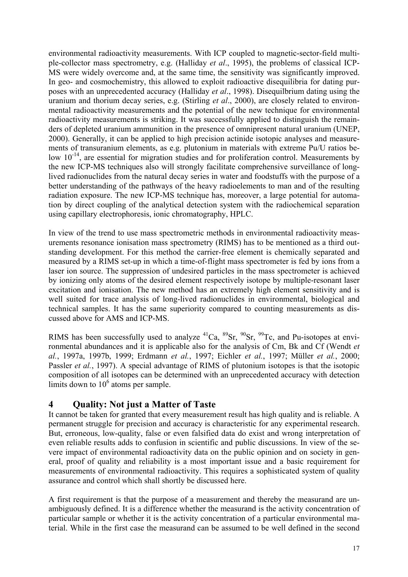environmental radioactivity measurements. With ICP coupled to magnetic-sector-field multiple-collector mass spectrometry, e.g. (Halliday *et al*., 1995), the problems of classical ICP-MS were widely overcome and, at the same time, the sensitivity was significantly improved. In geo- and cosmochemistry, this allowed to exploit radioactive disequilibria for dating purposes with an unprecedented accuracy (Halliday *et al*., 1998). Disequilbrium dating using the uranium and thorium decay series, e.g. (Stirling *et al*., 2000), are closely related to environmental radioactivity measurements and the potential of the new technique for environmental radioactivity measurements is striking. It was successfully applied to distinguish the remainders of depleted uranium ammunition in the presence of omnipresent natural uranium (UNEP, 2000). Generally, it can be applied to high precision actinide isotopic analyses and measurements of transuranium elements, as e.g. plutonium in materials with extreme Pu/U ratios below 10<sup>-14</sup>, are essential for migration studies and for proliferation control. Measurements by the new ICP-MS techniques also will strongly facilitate comprehensive surveillance of longlived radionuclides from the natural decay series in water and foodstuffs with the purpose of a better understanding of the pathways of the heavy radioelements to man and of the resulting radiation exposure. The new ICP-MS technique has, moreover, a large potential for automation by direct coupling of the analytical detection system with the radiochemical separation using capillary electrophoresis, ionic chromatography, HPLC.

In view of the trend to use mass spectrometric methods in environmental radioactivity measurements resonance ionisation mass spectrometry (RIMS) has to be mentioned as a third outstanding development. For this method the carrier-free element is chemically separated and measured by a RIMS set-up in which a time-of-flight mass spectrometer is fed by ions from a laser ion source. The suppression of undesired particles in the mass spectrometer is achieved by ionizing only atoms of the desired element respectively isotope by multiple-resonant laser excitation and ionisation. The new method has an extremely high element sensitivity and is well suited for trace analysis of long-lived radionuclides in environmental, biological and technical samples. It has the same superiority compared to counting measurements as discussed above for AMS and ICP-MS.

RIMS has been successfully used to analyze  ${}^{41}Ca$ ,  ${}^{89}Sr$ ,  ${}^{99}Sr$ ,  ${}^{99}Te$ , and Pu-isotopes at environmental abundances and it is applicable also for the analysis of Cm, Bk and Cf (Wendt *et al.*, 1997a, 1997b, 1999; Erdmann *et al.*, 1997; Eichler *et al.*, 1997; Müller *et al.*, 2000; Passler *et al.*, 1997). A special advantage of RIMS of plutonium isotopes is that the isotopic composition of all isotopes can be determined with an unprecedented accuracy with detection limits down to  $10^6$  atoms per sample.

# **4 Quality: Not just a Matter of Taste**

It cannot be taken for granted that every measurement result has high quality and is reliable. A permanent struggle for precision and accuracy is characteristic for any experimental research. But, erroneous, low-quality, false or even falsified data do exist and wrong interpretation of even reliable results adds to confusion in scientific and public discussions. In view of the severe impact of environmental radioactivity data on the public opinion and on society in general, proof of quality and reliability is a most important issue and a basic requirement for measurements of environmental radioactivity. This requires a sophisticated system of quality assurance and control which shall shortly be discussed here.

A first requirement is that the purpose of a measurement and thereby the measurand are unambiguously defined. It is a difference whether the measurand is the activity concentration of particular sample or whether it is the activity concentration of a particular environmental material. While in the first case the measurand can be assumed to be well defined in the second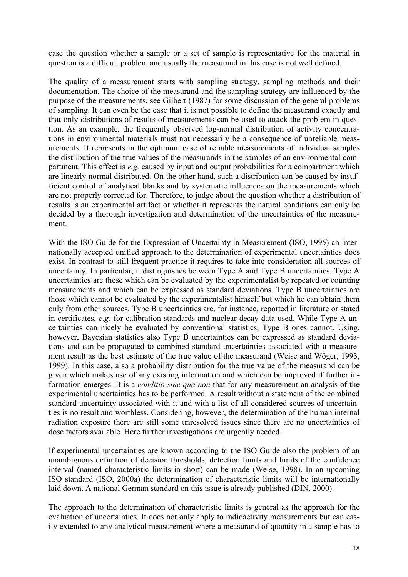case the question whether a sample or a set of sample is representative for the material in question is a difficult problem and usually the measurand in this case is not well defined.

The quality of a measurement starts with sampling strategy, sampling methods and their documentation. The choice of the measurand and the sampling strategy are influenced by the purpose of the measurements, see Gilbert (1987) for some discussion of the general problems of sampling. It can even be the case that it is not possible to define the measurand exactly and that only distributions of results of measurements can be used to attack the problem in question. As an example, the frequently observed log-normal distribution of activity concentrations in environmental materials must not necessarily be a consequence of unreliable measurements. It represents in the optimum case of reliable measurements of individual samples the distribution of the true values of the measurands in the samples of an environmental compartment. This effect is *e.g.* caused by input and output probabilities for a compartment which are linearly normal distributed. On the other hand, such a distribution can be caused by insufficient control of analytical blanks and by systematic influences on the measurements which are not properly corrected for. Therefore, to judge about the question whether a distribution of results is an experimental artifact or whether it represents the natural conditions can only be decided by a thorough investigation and determination of the uncertainties of the measurement.

With the ISO Guide for the Expression of Uncertainty in Measurement (ISO, 1995) an internationally accepted unified approach to the determination of experimental uncertainties does exist. In contrast to still frequent practice it requires to take into consideration all sources of uncertainty. In particular, it distinguishes between Type A and Type B uncertainties. Type A uncertainties are those which can be evaluated by the experimentalist by repeated or counting measurements and which can be expressed as standard deviations. Type B uncertainties are those which cannot be evaluated by the experimentalist himself but which he can obtain them only from other sources. Type B uncertainties are, for instance, reported in literature or stated in certificates, *e.g.* for calibration standards and nuclear decay data used. While Type A uncertainties can nicely be evaluated by conventional statistics, Type B ones cannot. Using, however, Bayesian statistics also Type B uncertainties can be expressed as standard deviations and can be propagated to combined standard uncertainties associated with a measurement result as the best estimate of the true value of the measurand (Weise and Wöger, 1993, 1999). In this case, also a probability distribution for the true value of the measurand can be given which makes use of any existing information and which can be improved if further information emerges. It is a *conditio sine qua non* that for any measurement an analysis of the experimental uncertainties has to be performed. A result without a statement of the combined standard uncertainty associated with it and with a list of all considered sources of uncertainties is no result and worthless. Considering, however, the determination of the human internal radiation exposure there are still some unresolved issues since there are no uncertainties of dose factors available. Here further investigations are urgently needed.

If experimental uncertainties are known according to the ISO Guide also the problem of an unambiguous definition of decision thresholds, detection limits and limits of the confidence interval (named characteristic limits in short) can be made (Weise, 1998). In an upcoming ISO standard (ISO, 2000a) the determination of characteristic limits will be internationally laid down. A national German standard on this issue is already published (DIN, 2000).

The approach to the determination of characteristic limits is general as the approach for the evaluation of uncertainties. It does not only apply to radioactivity measurements but can easily extended to any analytical measurement where a measurand of quantity in a sample has to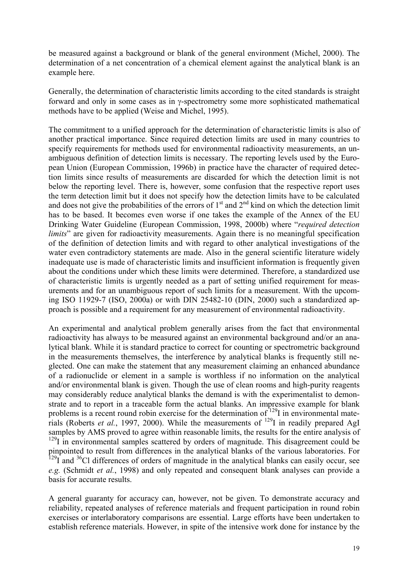be measured against a background or blank of the general environment (Michel, 2000). The determination of a net concentration of a chemical element against the analytical blank is an example here.

Generally, the determination of characteristic limits according to the cited standards is straight forward and only in some cases as in γ-spectrometry some more sophisticated mathematical methods have to be applied (Weise and Michel, 1995).

The commitment to a unified approach for the determination of characteristic limits is also of another practical importance. Since required detection limits are used in many countries to specify requirements for methods used for environmental radioactivity measurements, an unambiguous definition of detection limits is necessary. The reporting levels used by the European Union (European Commission, 1996b) in practice have the character of required detection limits since results of measurements are discarded for which the detection limit is not below the reporting level. There is, however, some confusion that the respective report uses the term detection limit but it does not specify how the detection limits have to be calculated and does not give the probabilities of the errors of  $1<sup>st</sup>$  and  $2<sup>nd</sup>$  kind on which the detection limit has to be based. It becomes even worse if one takes the example of the Annex of the EU Drinking Water Guideline (European Commission, 1998, 2000b) where "*required detection limits*" are given for radioactivity measurements. Again there is no meaningful specification of the definition of detection limits and with regard to other analytical investigations of the water even contradictory statements are made. Also in the general scientific literature widely inadequate use is made of characteristic limits and insufficient information is frequently given about the conditions under which these limits were determined. Therefore, a standardized use of characteristic limits is urgently needed as a part of setting unified requirement for measurements and for an unambiguous report of such limits for a measurement. With the upcoming ISO 11929-7 (ISO, 2000a) or with DIN 25482-10 (DIN, 2000) such a standardized approach is possible and a requirement for any measurement of environmental radioactivity.

An experimental and analytical problem generally arises from the fact that environmental radioactivity has always to be measured against an environmental background and/or an analytical blank. While it is standard practice to correct for counting or spectrometric background in the measurements themselves, the interference by analytical blanks is frequently still neglected. One can make the statement that any measurement claiming an enhanced abundance of a radionuclide or element in a sample is worthless if no information on the analytical and/or environmental blank is given. Though the use of clean rooms and high-purity reagents may considerably reduce analytical blanks the demand is with the experimentalist to demonstrate and to report in a traceable form the actual blanks. An impressive example for blank problems is a recent round robin exercise for the determination of  $129$ I in environmental materials (Roberts *et al.*, 1997, 2000). While the measurements of <sup>129</sup>I in readily prepared AgI samples by AMS proved to agree within reasonable limits, the results for the entire analysis of  $129$ I in environmental samples scattered by orders of magnitude. This disagreement could be pinpointed to result from differences in the analytical blanks of the various laboratories. For  $129$ I and  $36$ Cl differences of orders of magnitude in the analytical blanks can easily occur, see *e.g.* (Schmidt *et al.*, 1998) and only repeated and consequent blank analyses can provide a basis for accurate results.

A general guaranty for accuracy can, however, not be given. To demonstrate accuracy and reliability, repeated analyses of reference materials and frequent participation in round robin exercises or interlaboratory comparisons are essential. Large efforts have been undertaken to establish reference materials. However, in spite of the intensive work done for instance by the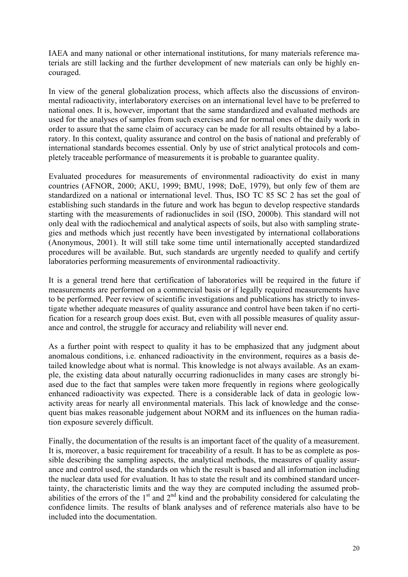IAEA and many national or other international institutions, for many materials reference materials are still lacking and the further development of new materials can only be highly encouraged.

In view of the general globalization process, which affects also the discussions of environmental radioactivity, interlaboratory exercises on an international level have to be preferred to national ones. It is, however, important that the same standardized and evaluated methods are used for the analyses of samples from such exercises and for normal ones of the daily work in order to assure that the same claim of accuracy can be made for all results obtained by a laboratory. In this context, quality assurance and control on the basis of national and preferably of international standards becomes essential. Only by use of strict analytical protocols and completely traceable performance of measurements it is probable to guarantee quality.

Evaluated procedures for measurements of environmental radioactivity do exist in many countries (AFNOR, 2000; AKU, 1999; BMU, 1998; DoE, 1979), but only few of them are standardized on a national or international level. Thus, ISO TC 85 SC 2 has set the goal of establishing such standards in the future and work has begun to develop respective standards starting with the measurements of radionuclides in soil (ISO, 2000b). This standard will not only deal with the radiochemical and analytical aspects of soils, but also with sampling strategies and methods which just recently have been investigated by international collaborations (Anonymous, 2001). It will still take some time until internationally accepted standardized procedures will be available. But, such standards are urgently needed to qualify and certify laboratories performing measurements of environmental radioactivity.

It is a general trend here that certification of laboratories will be required in the future if measurements are performed on a commercial basis or if legally required measurements have to be performed. Peer review of scientific investigations and publications has strictly to investigate whether adequate measures of quality assurance and control have been taken if no certification for a research group does exist. But, even with all possible measures of quality assurance and control, the struggle for accuracy and reliability will never end.

As a further point with respect to quality it has to be emphasized that any judgment about anomalous conditions, i.e. enhanced radioactivity in the environment, requires as a basis detailed knowledge about what is normal. This knowledge is not always available. As an example, the existing data about naturally occurring radionuclides in many cases are strongly biased due to the fact that samples were taken more frequently in regions where geologically enhanced radioactivity was expected. There is a considerable lack of data in geologic lowactivity areas for nearly all environmental materials. This lack of knowledge and the consequent bias makes reasonable judgement about NORM and its influences on the human radiation exposure severely difficult.

Finally, the documentation of the results is an important facet of the quality of a measurement. It is, moreover, a basic requirement for traceability of a result. It has to be as complete as possible describing the sampling aspects, the analytical methods, the measures of quality assurance and control used, the standards on which the result is based and all information including the nuclear data used for evaluation. It has to state the result and its combined standard uncertainty, the characteristic limits and the way they are computed including the assumed probabilities of the errors of the  $1<sup>st</sup>$  and  $2<sup>nd</sup>$  kind and the probability considered for calculating the confidence limits. The results of blank analyses and of reference materials also have to be included into the documentation.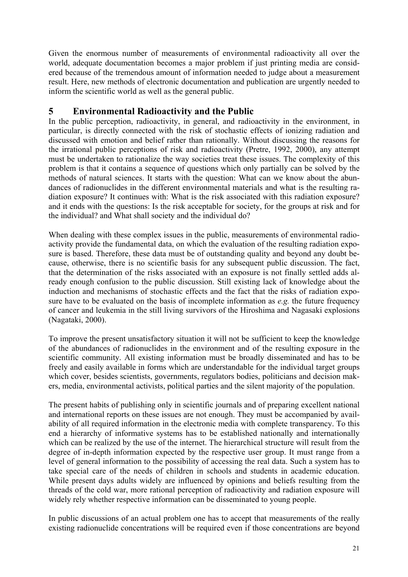Given the enormous number of measurements of environmental radioactivity all over the world, adequate documentation becomes a major problem if just printing media are considered because of the tremendous amount of information needed to judge about a measurement result. Here, new methods of electronic documentation and publication are urgently needed to inform the scientific world as well as the general public.

# **5 Environmental Radioactivity and the Public**

In the public perception, radioactivity, in general, and radioactivity in the environment, in particular, is directly connected with the risk of stochastic effects of ionizing radiation and discussed with emotion and belief rather than rationally. Without discussing the reasons for the irrational public perceptions of risk and radioactivity (Pretre, 1992, 2000), any attempt must be undertaken to rationalize the way societies treat these issues. The complexity of this problem is that it contains a sequence of questions which only partially can be solved by the methods of natural sciences. It starts with the question: What can we know about the abundances of radionuclides in the different environmental materials and what is the resulting radiation exposure? It continues with: What is the risk associated with this radiation exposure? and it ends with the questions: Is the risk acceptable for society, for the groups at risk and for the individual? and What shall society and the individual do?

When dealing with these complex issues in the public, measurements of environmental radioactivity provide the fundamental data, on which the evaluation of the resulting radiation exposure is based. Therefore, these data must be of outstanding quality and beyond any doubt because, otherwise, there is no scientific basis for any subsequent public discussion. The fact, that the determination of the risks associated with an exposure is not finally settled adds already enough confusion to the public discussion. Still existing lack of knowledge about the induction and mechanisms of stochastic effects and the fact that the risks of radiation exposure have to be evaluated on the basis of incomplete information as *e.g.* the future frequency of cancer and leukemia in the still living survivors of the Hiroshima and Nagasaki explosions (Nagataki, 2000).

To improve the present unsatisfactory situation it will not be sufficient to keep the knowledge of the abundances of radionuclides in the environment and of the resulting exposure in the scientific community. All existing information must be broadly disseminated and has to be freely and easily available in forms which are understandable for the individual target groups which cover, besides scientists, governments, regulators bodies, politicians and decision makers, media, environmental activists, political parties and the silent majority of the population.

The present habits of publishing only in scientific journals and of preparing excellent national and international reports on these issues are not enough. They must be accompanied by availability of all required information in the electronic media with complete transparency. To this end a hierarchy of informative systems has to be established nationally and internationally which can be realized by the use of the internet. The hierarchical structure will result from the degree of in-depth information expected by the respective user group. It must range from a level of general information to the possibility of accessing the real data. Such a system has to take special care of the needs of children in schools and students in academic education. While present days adults widely are influenced by opinions and beliefs resulting from the threads of the cold war, more rational perception of radioactivity and radiation exposure will widely rely whether respective information can be disseminated to young people.

In public discussions of an actual problem one has to accept that measurements of the really existing radionuclide concentrations will be required even if those concentrations are beyond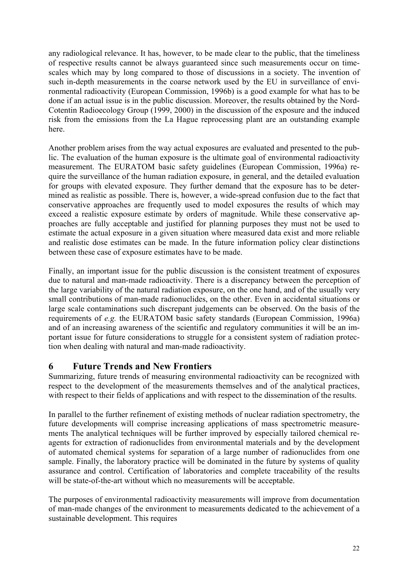any radiological relevance. It has, however, to be made clear to the public, that the timeliness of respective results cannot be always guaranteed since such measurements occur on timescales which may by long compared to those of discussions in a society. The invention of such in-depth measurements in the coarse network used by the EU in surveillance of environmental radioactivity (European Commission, 1996b) is a good example for what has to be done if an actual issue is in the public discussion. Moreover, the results obtained by the Nord-Cotentin Radioecology Group (1999, 2000) in the discussion of the exposure and the induced risk from the emissions from the La Hague reprocessing plant are an outstanding example here.

Another problem arises from the way actual exposures are evaluated and presented to the public. The evaluation of the human exposure is the ultimate goal of environmental radioactivity measurement. The EURATOM basic safety guidelines (European Commission, 1996a) require the surveillance of the human radiation exposure, in general, and the detailed evaluation for groups with elevated exposure. They further demand that the exposure has to be determined as realistic as possible. There is, however, a wide-spread confusion due to the fact that conservative approaches are frequently used to model exposures the results of which may exceed a realistic exposure estimate by orders of magnitude. While these conservative approaches are fully acceptable and justified for planning purposes they must not be used to estimate the actual exposure in a given situation where measured data exist and more reliable and realistic dose estimates can be made. In the future information policy clear distinctions between these case of exposure estimates have to be made.

Finally, an important issue for the public discussion is the consistent treatment of exposures due to natural and man-made radioactivity. There is a discrepancy between the perception of the large variability of the natural radiation exposure, on the one hand, and of the usually very small contributions of man-made radionuclides, on the other. Even in accidental situations or large scale contaminations such discrepant judgements can be observed. On the basis of the requirements of *e.g.* the EURATOM basic safety standards (European Commission, 1996a) and of an increasing awareness of the scientific and regulatory communities it will be an important issue for future considerations to struggle for a consistent system of radiation protection when dealing with natural and man-made radioactivity.

# **6 Future Trends and New Frontiers**

Summarizing, future trends of measuring environmental radioactivity can be recognized with respect to the development of the measurements themselves and of the analytical practices, with respect to their fields of applications and with respect to the dissemination of the results.

In parallel to the further refinement of existing methods of nuclear radiation spectrometry, the future developments will comprise increasing applications of mass spectrometric measurements The analytical techniques will be further improved by especially tailored chemical reagents for extraction of radionuclides from environmental materials and by the development of automated chemical systems for separation of a large number of radionuclides from one sample. Finally, the laboratory practice will be dominated in the future by systems of quality assurance and control. Certification of laboratories and complete traceability of the results will be state-of-the-art without which no measurements will be acceptable.

The purposes of environmental radioactivity measurements will improve from documentation of man-made changes of the environment to measurements dedicated to the achievement of a sustainable development. This requires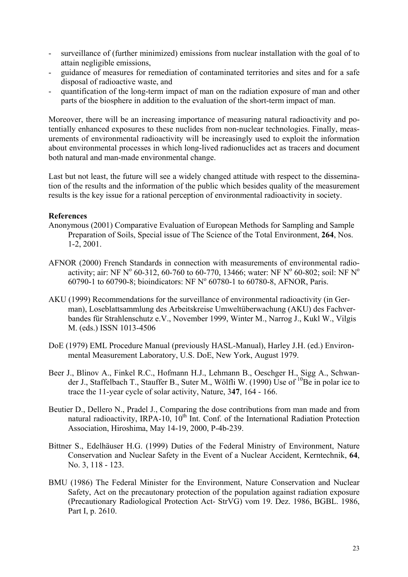- surveillance of (further minimized) emissions from nuclear installation with the goal of to attain negligible emissions,
- guidance of measures for remediation of contaminated territories and sites and for a safe disposal of radioactive waste, and
- quantification of the long-term impact of man on the radiation exposure of man and other parts of the biosphere in addition to the evaluation of the short-term impact of man.

Moreover, there will be an increasing importance of measuring natural radioactivity and potentially enhanced exposures to these nuclides from non-nuclear technologies. Finally, measurements of environmental radioactivity will be increasingly used to exploit the information about environmental processes in which long-lived radionuclides act as tracers and document both natural and man-made environmental change.

Last but not least, the future will see a widely changed attitude with respect to the dissemination of the results and the information of the public which besides quality of the measurement results is the key issue for a rational perception of environmental radioactivity in society.

#### **References**

- Anonymous (2001) Comparative Evaluation of European Methods for Sampling and Sample Preparation of Soils, Special issue of The Science of the Total Environment, **264**, Nos. 1-2, 2001.
- AFNOR (2000) French Standards in connection with measurements of environmental radioactivity; air: NF N° 60-312, 60-760 to 60-770, 13466; water: NF N° 60-802; soil: NF N° 60790-1 to 60790-8; bioindicators: NF  $N^{\circ}$  60780-1 to 60780-8, AFNOR, Paris.
- AKU (1999) Recommendations for the surveillance of environmental radioactivity (in German), Loseblattsammlung des Arbeitskreise Umweltüberwachung (AKU) des Fachverbandes für Strahlenschutz e.V., November 1999, Winter M., Narrog J., Kukl W., Vilgis M. (eds.) ISSN 1013-4506
- DoE (1979) EML Procedure Manual (previously HASL-Manual), Harley J.H. (ed.) Environmental Measurement Laboratory, U.S. DoE, New York, August 1979.
- Beer J., Blinov A., Finkel R.C., Hofmann H.J., Lehmann B., Oeschger H., Sigg A., Schwander J., Staffelbach T., Stauffer B., Suter M., Wölfli W. (1990) Use of  $^{10}$ Be in polar ice to trace the 11-year cycle of solar activity, Nature, 3**47**, 164 - 166.
- Beutier D., Dellero N., Pradel J., Comparing the dose contributions from man made and from natural radioactivity, IRPA-10,  $10<sup>th</sup>$  Int. Conf. of the International Radiation Protection Association, Hiroshima, May 14-19, 2000, P-4b-239.
- Bittner S., Edelhäuser H.G. (1999) Duties of the Federal Ministry of Environment, Nature Conservation and Nuclear Safety in the Event of a Nuclear Accident, Kerntechnik, **64**, No. 3, 118 - 123.
- BMU (1986) The Federal Minister for the Environment, Nature Conservation and Nuclear Safety, Act on the precautonary protection of the population against radiation exposure (Precautionary Radiological Protection Act- StrVG) vom 19. Dez. 1986, BGBL. 1986, Part I, p. 2610.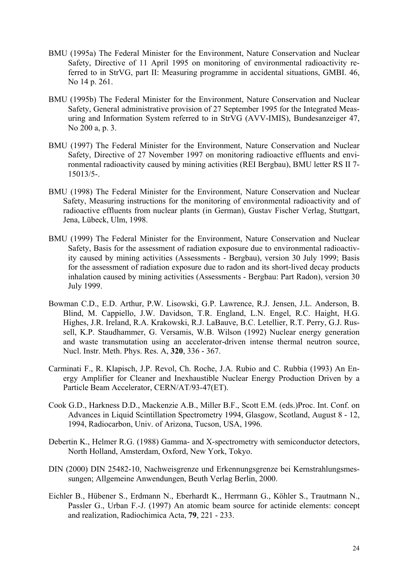- BMU (1995a) The Federal Minister for the Environment, Nature Conservation and Nuclear Safety, Directive of 11 April 1995 on monitoring of environmental radioactivity referred to in StrVG, part II: Measuring programme in accidental situations, GMBI. 46, No 14 p. 261.
- BMU (1995b) The Federal Minister for the Environment, Nature Conservation and Nuclear Safety, General administrative provision of 27 September 1995 for the Integrated Measuring and Information System referred to in StrVG (AVV-IMIS), Bundesanzeiger 47, No 200 a, p. 3.
- BMU (1997) The Federal Minister for the Environment, Nature Conservation and Nuclear Safety, Directive of 27 November 1997 on monitoring radioactive effluents and environmental radioactivity caused by mining activities (REI Bergbau), BMU letter RS II 7- 15013/5-.
- BMU (1998) The Federal Minister for the Environment, Nature Conservation and Nuclear Safety, Measuring instructions for the monitoring of environmental radioactivity and of radioactive effluents from nuclear plants (in German), Gustav Fischer Verlag, Stuttgart, Jena, Lübeck, Ulm, 1998.
- BMU (1999) The Federal Minister for the Environment, Nature Conservation and Nuclear Safety, Basis for the assessment of radiation exposure due to environmental radioactivity caused by mining activities (Assessments - Bergbau), version 30 July 1999; Basis for the assessment of radiation exposure due to radon and its short-lived decay products inhalation caused by mining activities (Assessments - Bergbau: Part Radon), version 30 July 1999.
- Bowman C.D., E.D. Arthur, P.W. Lisowski, G.P. Lawrence, R.J. Jensen, J.L. Anderson, B. Blind, M. Cappiello, J.W. Davidson, T.R. England, L.N. Engel, R.C. Haight, H.G. Highes, J.R. Ireland, R.A. Krakowski, R.J. LaBauve, B.C. Letellier, R.T. Perry, G.J. Russell, K.P. Staudhammer, G. Versamis, W.B. Wilson (1992) Nuclear energy generation and waste transmutation using an accelerator-driven intense thermal neutron source, Nucl. Instr. Meth. Phys. Res. A, **320**, 336 - 367.
- Carminati F., R. Klapisch, J.P. Revol, Ch. Roche, J.A. Rubio and C. Rubbia (1993) An Energy Amplifier for Cleaner and Inexhaustible Nuclear Energy Production Driven by a Particle Beam Accelerator, CERN/AT/93-47(ET).
- Cook G.D., Harkness D.D., Mackenzie A.B., Miller B.F., Scott E.M. (eds.)Proc. Int. Conf. on Advances in Liquid Scintillation Spectrometry 1994, Glasgow, Scotland, August 8 - 12, 1994, Radiocarbon, Univ. of Arizona, Tucson, USA, 1996.
- Debertin K., Helmer R.G. (1988) Gamma- and X-spectrometry with semiconductor detectors, North Holland, Amsterdam, Oxford, New York, Tokyo.
- DIN (2000) DIN 25482-10, Nachweisgrenze und Erkennungsgrenze bei Kernstrahlungsmessungen; Allgemeine Anwendungen, Beuth Verlag Berlin, 2000.
- Eichler B., Hübener S., Erdmann N., Eberhardt K., Herrmann G., Köhler S., Trautmann N., Passler G., Urban F.-J. (1997) An atomic beam source for actinide elements: concept and realization, Radiochimica Acta, **79**, 221 - 233.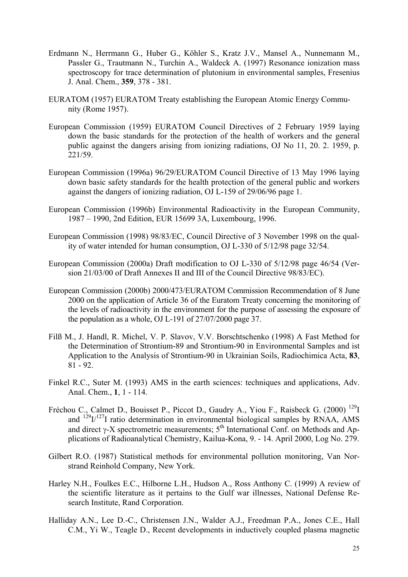- Erdmann N., Herrmann G., Huber G., Köhler S., Kratz J.V., Mansel A., Nunnemann M., Passler G., Trautmann N., Turchin A., Waldeck A. (1997) Resonance ionization mass spectroscopy for trace determination of plutonium in environmental samples, Fresenius J. Anal. Chem., **359**, 378 - 381.
- EURATOM (1957) EURATOM Treaty establishing the European Atomic Energy Community (Rome 1957).
- European Commission (1959) EURATOM Council Directives of 2 February 1959 laying down the basic standards for the protection of the health of workers and the general public against the dangers arising from ionizing radiations, OJ No 11, 20. 2. 1959, p. 221/59.
- European Commission (1996a) 96/29/EURATOM Council Directive of 13 May 1996 laying down basic safety standards for the health protection of the general public and workers against the dangers of ionizing radiation, OJ L-159 of 29/06/96 page 1.
- European Commission (1996b) Environmental Radioactivity in the European Community, 1987 – 1990, 2nd Edition, EUR 15699 3A, Luxembourg, 1996.
- European Commission (1998) 98/83/EC, Council Directive of 3 November 1998 on the quality of water intended for human consumption, OJ L-330 of 5/12/98 page 32/54.
- European Commission (2000a) Draft modification to OJ L-330 of 5/12/98 page 46/54 (Version 21/03/00 of Draft Annexes II and III of the Council Directive 98/83/EC).
- European Commission (2000b) 2000/473/EURATOM Commission Recommendation of 8 June 2000 on the application of Article 36 of the Euratom Treaty concerning the monitoring of the levels of radioactivity in the environment for the purpose of assessing the exposure of the population as a whole, OJ L-191 of 27/07/2000 page 37.
- Filß M., J. Handl, R. Michel, V. P. Slavov, V.V. Borschtschenko (1998) A Fast Method for the Determination of Strontium-89 and Strontium-90 in Environmental Samples and ist Application to the Analysis of Strontium-90 in Ukrainian Soils, Radiochimica Acta, **83**, 81 - 92.
- Finkel R.C., Suter M. (1993) AMS in the earth sciences: techniques and applications, Adv. Anal. Chem., **1**, 1 - 114.
- Fréchou C., Calmet D., Bouisset P., Piccot D., Gaudry A., Yiou F., Raisbeck G. (2000) <sup>129</sup>I and  $129I/127I$  ratio determination in environmental biological samples by RNAA, AMS and direct  $\gamma$ -X spectrometric measurements;  $5<sup>th</sup>$  International Conf. on Methods and Applications of Radioanalytical Chemistry, Kailua-Kona, 9. - 14. April 2000, Log No. 279.
- Gilbert R.O. (1987) Statistical methods for environmental pollution monitoring, Van Norstrand Reinhold Company, New York.
- Harley N.H., Foulkes E.C., Hilborne L.H., Hudson A., Ross Anthony C. (1999) A review of the scientific literature as it pertains to the Gulf war illnesses, National Defense Research Institute, Rand Corporation.
- Halliday A.N., Lee D.-C., Christensen J.N., Walder A.J., Freedman P.A., Jones C.E., Hall C.M., Yi W., Teagle D., Recent developments in inductively coupled plasma magnetic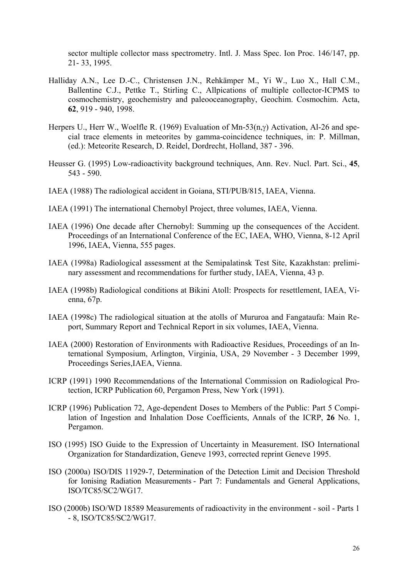sector multiple collector mass spectrometry. Intl. J. Mass Spec. Ion Proc. 146/147, pp. 21- 33, 1995.

- Halliday A.N., Lee D.-C., Christensen J.N., Rehkämper M., Yi W., Luo X., Hall C.M., Ballentine C.J., Pettke T., Stirling C., Allpications of multiple collector-ICPMS to cosmochemistry, geochemistry and paleooceanography, Geochim. Cosmochim. Acta, **62**, 919 - 940, 1998.
- Herpers U., Herr W., Woelfle R. (1969) Evaluation of Mn-53(n,γ) Activation, Al-26 and special trace elements in meteorites by gamma-coincidence techniques, in: P. Millman, (ed.): Meteorite Research, D. Reidel, Dordrecht, Holland, 387 - 396.
- Heusser G. (1995) Low-radioactivity background techniques, Ann. Rev. Nucl. Part. Sci., **45**, 543 - 590.
- IAEA (1988) The radiological accident in Goiana, STI/PUB/815, IAEA, Vienna.
- IAEA (1991) The international Chernobyl Project, three volumes, IAEA, Vienna.
- IAEA (1996) One decade after Chernobyl: Summing up the consequences of the Accident. Proceedings of an International Conference of the EC, IAEA, WHO, Vienna, 8-12 April 1996, IAEA, Vienna, 555 pages.
- IAEA (1998a) Radiological assessment at the Semipalatinsk Test Site, Kazakhstan: preliminary assessment and recommendations for further study, IAEA, Vienna, 43 p.
- IAEA (1998b) Radiological conditions at Bikini Atoll: Prospects for resettlement, IAEA, Vienna, 67p.
- IAEA (1998c) The radiological situation at the atolls of Mururoa and Fangataufa: Main Report, Summary Report and Technical Report in six volumes, IAEA, Vienna.
- IAEA (2000) Restoration of Environments with Radioactive Residues, Proceedings of an International Symposium, Arlington, Virginia, USA, 29 November - 3 December 1999, Proceedings Series,IAEA, Vienna.
- ICRP (1991) 1990 Recommendations of the International Commission on Radiological Protection, ICRP Publication 60, Pergamon Press, New York (1991).
- ICRP (1996) Publication 72, Age-dependent Doses to Members of the Public: Part 5 Compilation of Ingestion and Inhalation Dose Coefficients, Annals of the ICRP, **26** No. 1, Pergamon.
- ISO (1995) ISO Guide to the Expression of Uncertainty in Measurement. ISO International Organization for Standardization, Geneve 1993, corrected reprint Geneve 1995.
- ISO (2000a) ISO/DIS 11929-7, Determination of the Detection Limit and Decision Threshold for Ionising Radiation Measurements - Part 7: Fundamentals and General Applications, ISO/TC85/SC2/WG17.
- ISO (2000b) ISO/WD 18589 Measurements of radioactivity in the environment soil Parts 1 - 8, ISO/TC85/SC2/WG17.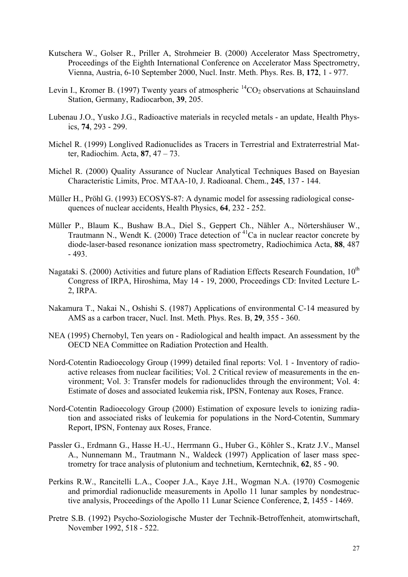- Kutschera W., Golser R., Priller A, Strohmeier B. (2000) Accelerator Mass Spectrometry, Proceedings of the Eighth International Conference on Accelerator Mass Spectrometry, Vienna, Austria, 6-10 September 2000, Nucl. Instr. Meth. Phys. Res. B, **172**, 1 - 977.
- Levin I., Kromer B. (1997) Twenty years of atmospheric  ${}^{14}CO_2$  observations at Schauinsland Station, Germany, Radiocarbon, **39**, 205.
- Lubenau J.O., Yusko J.G., Radioactive materials in recycled metals an update, Health Physics, **74**, 293 - 299.
- Michel R. (1999) Longlived Radionuclides as Tracers in Terrestrial and Extraterrestrial Matter, Radiochim. Acta, **87**, 47 – 73.
- Michel R. (2000) Quality Assurance of Nuclear Analytical Techniques Based on Bayesian Characteristic Limits, Proc. MTAA-10, J. Radioanal. Chem., **245**, 137 - 144.
- Müller H., Pröhl G. (1993) ECOSYS-87: A dynamic model for assessing radiological consequences of nuclear accidents, Health Physics, **64**, 232 - 252.
- Müller P., Blaum K., Bushaw B.A., Diel S., Geppert Ch., Nähler A., Nörtershäuser W., Trautmann N., Wendt K. (2000) Trace detection of  ${}^{41}Ca$  in nuclear reactor concrete by diode-laser-based resonance ionization mass spectrometry, Radiochimica Acta, **88**, 487 - 493.
- Nagataki S. (2000) Activities and future plans of Radiation Effects Research Foundation,  $10^{th}$ Congress of IRPA, Hiroshima, May 14 - 19, 2000, Proceedings CD: Invited Lecture L-2, IRPA.
- Nakamura T., Nakai N., Oshishi S. (1987) Applications of environmental C-14 measured by AMS as a carbon tracer, Nucl. Inst. Meth. Phys. Res. B, **29**, 355 - 360.
- NEA (1995) Chernobyl, Ten years on Radiological and health impact. An assessment by the OECD NEA Committee on Radiation Protection and Health.
- Nord-Cotentin Radioecology Group (1999) detailed final reports: Vol. 1 Inventory of radioactive releases from nuclear facilities; Vol. 2 Critical review of measurements in the environment; Vol. 3: Transfer models for radionuclides through the environment; Vol. 4: Estimate of doses and associated leukemia risk, IPSN, Fontenay aux Roses, France.
- Nord-Cotentin Radioecology Group (2000) Estimation of exposure levels to ionizing radiation and associated risks of leukemia for populations in the Nord-Cotentin, Summary Report, IPSN, Fontenay aux Roses, France.
- Passler G., Erdmann G., Hasse H.-U., Herrmann G., Huber G., Köhler S., Kratz J.V., Mansel A., Nunnemann M., Trautmann N., Waldeck (1997) Application of laser mass spectrometry for trace analysis of plutonium and technetium, Kerntechnik, **62**, 85 - 90.
- Perkins R.W., Rancitelli L.A., Cooper J.A., Kaye J.H., Wogman N.A. (1970) Cosmogenic and primordial radionuclide measurements in Apollo 11 lunar samples by nondestructive analysis, Proceedings of the Apollo 11 Lunar Science Conference, **2**, 1455 - 1469.
- Pretre S.B. (1992) Psycho-Soziologische Muster der Technik-Betroffenheit, atomwirtschaft, November 1992, 518 - 522.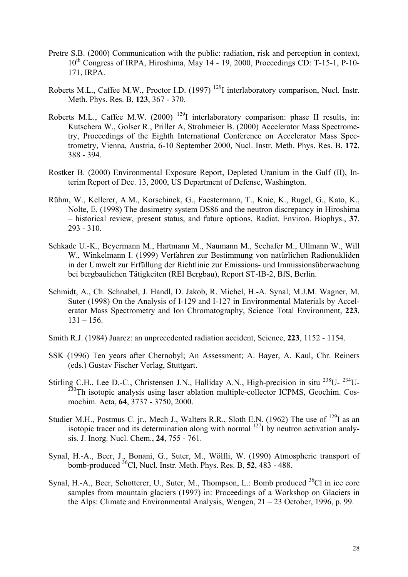- Pretre S.B. (2000) Communication with the public: radiation, risk and perception in context,  $10^{th}$  Congress of IRPA, Hiroshima, May 14 - 19, 2000, Proceedings CD: T-15-1, P-10-171, IRPA.
- Roberts M.L., Caffee M.W., Proctor I.D. (1997)<sup>129</sup>I interlaboratory comparison, Nucl. Instr. Meth. Phys. Res. B, **123**, 367 - 370.
- Roberts M.L., Caffee M.W. (2000) <sup>129</sup>I interlaboratory comparison: phase II results, in: Kutschera W., Golser R., Priller A, Strohmeier B. (2000) Accelerator Mass Spectrometry, Proceedings of the Eighth International Conference on Accelerator Mass Spectrometry, Vienna, Austria, 6-10 September 2000, Nucl. Instr. Meth. Phys. Res. B, **172**, 388 - 394.
- Rostker B. (2000) Environmental Exposure Report, Depleted Uranium in the Gulf (II), Interim Report of Dec. 13, 2000, US Department of Defense, Washington.
- Rühm, W., Kellerer, A.M., Korschinek, G., Faestermann, T., Knie, K., Rugel, G., Kato, K., Nolte, E. (1998) The dosimetry system DS86 and the neutron discrepancy in Hiroshima – historical review, present status, and future options, Radiat. Environ. Biophys., **37**, 293 - 310.
- Schkade U.-K., Beyermann M., Hartmann M., Naumann M., Seehafer M., Ullmann W., Will W., Winkelmann I. (1999) Verfahren zur Bestimmung von natürlichen Radionukliden in der Umwelt zur Erfüllung der Richtlinie zur Emissions- und Immissionsüberwachung bei bergbaulichen Tätigkeiten (REI Bergbau), Report ST-IB-2, BfS, Berlin.
- Schmidt, A., Ch. Schnabel, J. Handl, D. Jakob, R. Michel, H.-A. Synal, M.J.M. Wagner, M. Suter (1998) On the Analysis of I-129 and I-127 in Environmental Materials by Accelerator Mass Spectrometry and Ion Chromatography, Science Total Environment, **223**,  $131 - 156$ .
- Smith R.J. (1984) Juarez: an unprecedented radiation accident, Science, **223**, 1152 1154.
- SSK (1996) Ten years after Chernobyl; An Assessment; A. Bayer, A. Kaul, Chr. Reiners (eds.) Gustav Fischer Verlag, Stuttgart.
- Stirling C.H., Lee D.-C., Christensen J.N., Halliday A.N., High-precision in situ 238U- 234U- $^{230}$ Th isotopic analysis using laser ablation multiple-collector ICPMS, Geochim. Cosmochim. Acta, **64**, 3737 - 3750, 2000.
- Studier M.H., Postmus C. jr., Mech J., Walters R.R., Sloth E.N. (1962) The use of <sup>129</sup>I as an isotopic tracer and its determination along with normal  $^{127}I$  by neutron activation analysis. J. Inorg. Nucl. Chem., **24**, 755 - 761.
- Synal, H.-A., Beer, J., Bonani, G., Suter, M., Wölfli, W. (1990) Atmospheric transport of bomb-produced 36Cl, Nucl. Instr. Meth. Phys. Res. B, **52**, 483 - 488.
- Synal, H.-A., Beer, Schotterer, U., Suter, M., Thompson, L.: Bomb produced <sup>36</sup>Cl in ice core samples from mountain glaciers (1997) in: Proceedings of a Workshop on Glaciers in the Alps: Climate and Environmental Analysis, Wengen, 21 – 23 October, 1996, p. 99.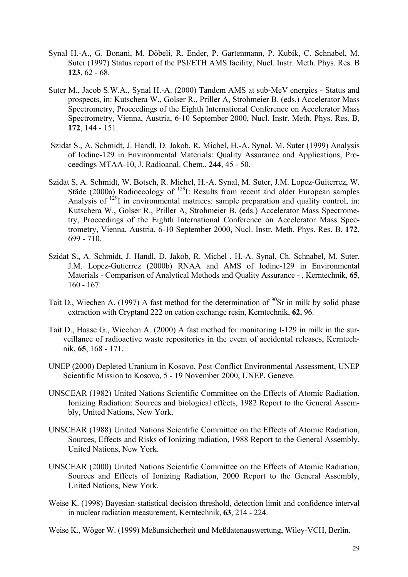- Synal H.-A., G. Bonani, M. Döbeli, R. Ender, P. Gartenmann, P. Kubik, C. Schnabel, M. Suter (1997) Status report of the PSI/ETH AMS facility, Nucl. Instr. Meth. Phys. Res. B **123**, 62 - 68.
- Suter M., Jacob S.W.A., Synal H.-A. (2000) Tandem AMS at sub-MeV energies Status and prospects, in: Kutschera W., Golser R., Priller A, Strohmeier B. (eds.) Accelerator Mass Spectrometry, Proceedings of the Eighth International Conference on Accelerator Mass Spectrometry, Vienna, Austria, 6-10 September 2000, Nucl. Instr. Meth. Phys. Res. B, **172**, 144 - 151.
- Szidat S., A. Schmidt, J. Handl, D. Jakob, R. Michel, H.-A. Synal, M. Suter (1999) Analysis of Iodine-129 in Environmental Materials: Quality Assurance and Applications, Proceedings MTAA-10, J. Radioanal. Chem., **244**, 45 - 50.
- Szidat S, A. Schmidt, W. Botsch, R. Michel, H.-A. Synal, M. Suter, J.M. Lopez-Guiterrez, W. Städe (2000a) Radioecology of  $^{129}$ I: Results from recent and older European samples Analysis of  $129$ I in environmental matrices: sample preparation and quality control, in: Kutschera W., Golser R., Priller A, Strohmeier B. (eds.) Accelerator Mass Spectrometry, Proceedings of the Eighth International Conference on Accelerator Mass Spectrometry, Vienna, Austria, 6-10 September 2000, Nucl. Instr. Meth. Phys. Res. B, **172**, 699 - 710.
- Szidat S., A. Schmidt, J. Handl, D. Jakob, R. Michel , H.-A. Synal, Ch. Schnabel, M. Suter, J.M. Lopez-Gutierrez (2000b) RNAA and AMS of Iodine-129 in Environmental Materials - Comparison of Analytical Methods and Quality Assurance - , Kerntechnik, **65**, 160 - 167.
- Tait D., Wiechen A. (1997) A fast method for the determination of  $90$ Sr in milk by solid phase extraction with Cryptand 222 on cation exchange resin, Kerntechnik, **62**, 96.
- Tait D., Haase G., Wiechen A. (2000) A fast method for monitoring I-129 in milk in the surveillance of radioactive waste repositories in the event of accidental releases, Kerntechnik, **65**, 168 - 171.
- UNEP (2000) Depleted Uranium in Kosovo, Post-Conflict Environmental Assessment, UNEP Scientific Mission to Kosovo, 5 - 19 November 2000, UNEP, Geneve.
- UNSCEAR (1982) United Nations Scientific Committee on the Effects of Atomic Radiation, Ionizing Radiation: Sources and biological effects, 1982 Report to the General Assembly, United Nations, New York.
- UNSCEAR (1988) United Nations Scientific Committee on the Effects of Atomic Radiation, Sources, Effects and Risks of Ionizing radiation, 1988 Report to the General Assembly, United Nations, New York.
- UNSCEAR (2000) United Nations Scientific Committee on the Effects of Atomic Radiation, Sources and Effects of Ionizing Radiation, 2000 Report to the General Assembly, United Nations, New York.
- Weise K. (1998) Bayesian-statistical decision threshold, detection limit and confidence interval in nuclear radiation measurement, Kerntechnik, **63**, 214 - 224.
- Weise K., Wöger W. (1999) Meßunsicherheit und Meßdatenauswertung, Wiley-VCH, Berlin.